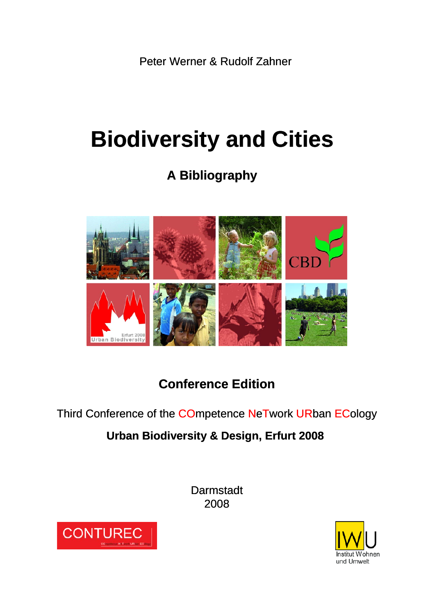Peter Werner & Rudolf Zahner

# **Biodiversity and Cities**

## **A Bibliography**



## **Conference Edition**

Third Conference of the COmpetence NeTwork URban ECology

#### **Urban Biodiversity & Design, Erfurt 2008**

**Darmstadt** 2008



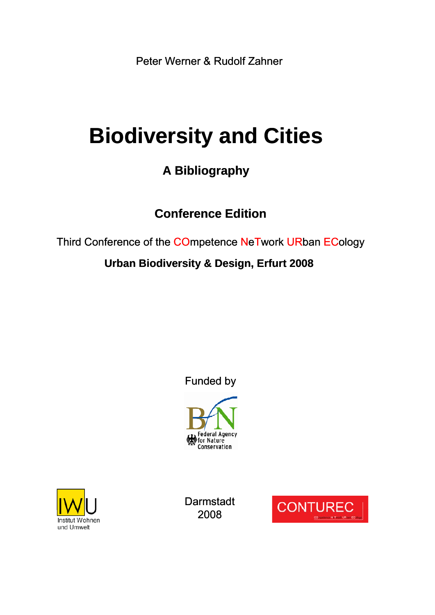Peter Werner & Rudolf Zahner

# **Biodiversity and Cities**

### **A Bibliography**

### **Conference Edition**

Third Conference of the COmpetence NeTwork URban ECology

#### **Urban Biodiversity & Design, Erfurt 2008**

Funded by





Darmstadt 2008

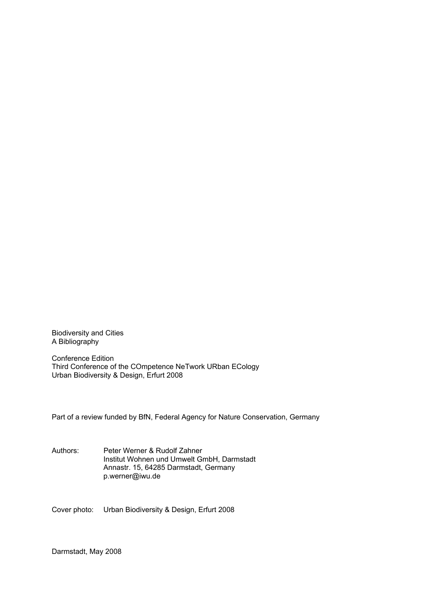Biodiversity and Cities A Bibliography

Conference Edition Third Conference of the COmpetence NeTwork URban ECology Urban Biodiversity & Design, Erfurt 2008

Part of a review funded by BfN, Federal Agency for Nature Conservation, Germany

Authors: Peter Werner & Rudolf Zahner Institut Wohnen und Umwelt GmbH, Darmstadt Annastr. 15, 64285 Darmstadt, Germany p.werner@iwu.de

Cover photo: Urban Biodiversity & Design, Erfurt 2008

Darmstadt, May 2008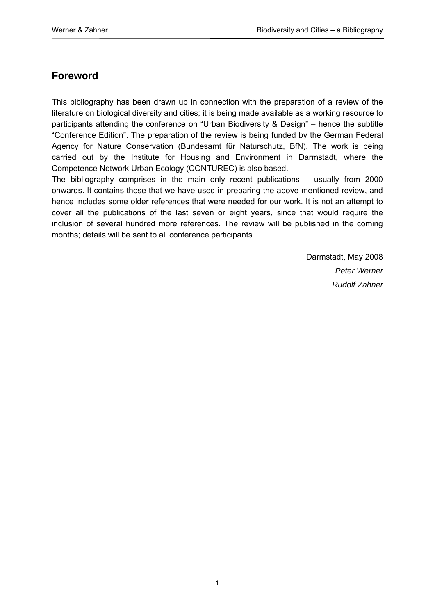#### **Foreword**

This bibliography has been drawn up in connection with the preparation of a review of the literature on biological diversity and cities; it is being made available as a working resource to participants attending the conference on "Urban Biodiversity & Design" – hence the subtitle "Conference Edition". The preparation of the review is being funded by the German Federal Agency for Nature Conservation (Bundesamt für Naturschutz, BfN). The work is being carried out by the Institute for Housing and Environment in Darmstadt, where the Competence Network Urban Ecology (CONTUREC) is also based.

The bibliography comprises in the main only recent publications – usually from 2000 onwards. It contains those that we have used in preparing the above-mentioned review, and hence includes some older references that were needed for our work. It is not an attempt to cover all the publications of the last seven or eight years, since that would require the inclusion of several hundred more references. The review will be published in the coming months; details will be sent to all conference participants.

> Darmstadt, May 2008 *Peter Werner Rudolf Zahner*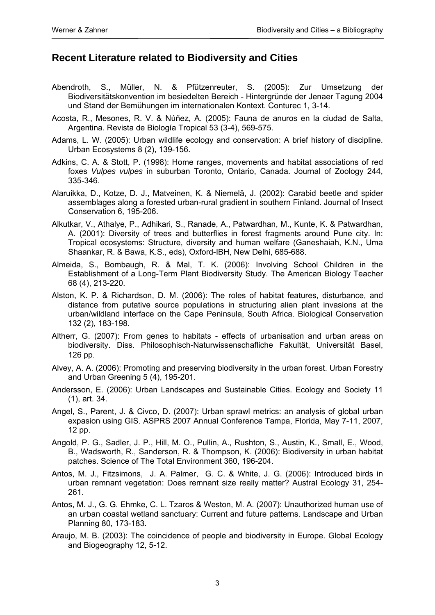#### **Recent Literature related to Biodiversity and Cities**

- Abendroth, S., Müller, N. & Pfützenreuter, S. (2005): Zur Umsetzung der Biodiversitätskonvention im besiedelten Bereich - Hintergründe der Jenaer Tagung 2004 und Stand der Bemühungen im internationalen Kontext. Conturec 1, 3-14.
- Acosta, R., Mesones, R. V. & Núñez, A. (2005): Fauna de anuros en la ciudad de Salta, Argentina. Revista de Biología Tropical 53 (3-4), 569-575.
- Adams, L. W. (2005): Urban wildlife ecology and conservation: A brief history of discipline. Urban Ecosystems 8 (2), 139-156.
- Adkins, C. A. & Stott, P. (1998): Home ranges, movements and habitat associations of red foxes *Vulpes vulpes* in suburban Toronto, Ontario, Canada. Journal of Zoology 244, 335-346.
- Alaruikka, D., Kotze, D. J., Matveinen, K. & Niemelä, J. (2002): Carabid beetle and spider assemblages along a forested urban-rural gradient in southern Finland. Journal of Insect Conservation 6, 195-206.
- Alkutkar, V., Athalye, P., Adhikari, S., Ranade, A., Patwardhan, M., Kunte, K. & Patwardhan, A. (2001): Diversity of trees and butterflies in forest fragments around Pune city. In: Tropical ecosystems: Structure, diversity and human welfare (Ganeshaiah, K.N., Uma Shaankar, R. & Bawa, K.S., eds), Oxford-IBH, New Delhi, 685-688.
- Almeida, S., Bombaugh, R. & Mal, T. K. (2006): Involving School Children in the Establishment of a Long-Term Plant Biodiversity Study. The American Biology Teacher 68 (4), 213-220.
- Alston, K. P. & Richardson, D. M. (2006): The roles of habitat features, disturbance, and distance from putative source populations in structuring alien plant invasions at the urban/wildland interface on the Cape Peninsula, South Africa. Biological Conservation 132 (2), 183-198.
- Altherr, G. (2007): From genes to habitats effects of urbanisation and urban areas on biodiversity. Diss. Philosophisch-Naturwissenschafliche Fakultät, Universität Basel, 126 pp.
- Alvey, A. A. (2006): Promoting and preserving biodiversity in the urban forest. Urban Forestry and Urban Greening 5 (4), 195-201.
- Andersson, E. (2006): Urban Landscapes and Sustainable Cities. Ecology and Society 11 (1), art. 34.
- Angel, S., Parent, J. & Civco, D. (2007): Urban sprawl metrics: an analysis of global urban expasion using GIS. ASPRS 2007 Annual Conference Tampa, Florida, May 7-11, 2007, 12 pp.
- Angold, P. G., Sadler, J. P., Hill, M. O., Pullin, A., Rushton, S., Austin, K., Small, E., Wood, B., Wadsworth, R., Sanderson, R. & Thompson, K. (2006): Biodiversity in urban habitat patches. Science of The Total Environment 360, 196-204.
- Antos, M. J., Fitzsimons, J. A. Palmer, G. C. & White, J. G. (2006): Introduced birds in urban remnant vegetation: Does remnant size really matter? Austral Ecology 31, 254- 261.
- Antos, M. J., G. G. Ehmke, C. L. Tzaros & Weston, M. A. (2007): Unauthorized human use of an urban coastal wetland sanctuary: Current and future patterns. Landscape and Urban Planning 80, 173-183.
- Araujo, M. B. (2003): The coincidence of people and biodiversity in Europe. Global Ecology and Biogeography 12, 5-12.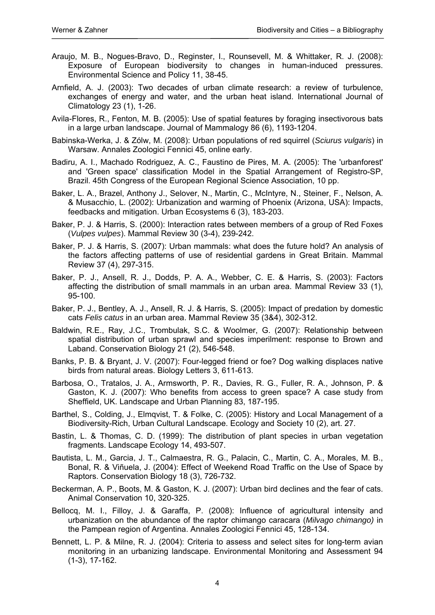- Araujo, M. B., Nogues-Bravo, D., Reginster, I., Rounsevell, M. & Whittaker, R. J. (2008): Exposure of European biodiversity to changes in human-induced pressures. Environmental Science and Policy 11, 38-45.
- Arnfield, A. J. (2003): Two decades of urban climate research: a review of turbulence, exchanges of energy and water, and the urban heat island. International Journal of Climatology 23 (1), 1-26.
- Avila-Flores, R., Fenton, M. B. (2005): Use of spatial features by foraging insectivorous bats in a large urban landscape. Journal of Mammalogy 86 (6), 1193-1204.
- Babinska-Werka, J. & Zólw, M. (2008): Urban populations of red squirrel (*Sciurus vulgaris*) in Warsaw. Annales Zoologici Fennici 45, online early.
- Badiru, A. I., Machado Rodriguez, A. C., Faustino de Pires, M. A. (2005): The 'urbanforest' and 'Green space' classification Model in the Spatial Arrangement of Registro-SP, Brazil. 45th Congress of the European Regional Science Association, 10 pp.
- Baker, L. A., Brazel, Anthony J., Selover, N., Martin, C., McIntyre, N., Steiner, F., Nelson, A. & Musacchio, L. (2002): Urbanization and warming of Phoenix (Arizona, USA): Impacts, feedbacks and mitigation. Urban Ecosystems 6 (3), 183-203.
- Baker, P. J. & Harris, S. (2000): Interaction rates between members of a group of Red Foxes (*Vulpes vulpes*). Mammal Review 30 (3-4), 239-242.
- Baker, P. J. & Harris, S. (2007): Urban mammals: what does the future hold? An analysis of the factors affecting patterns of use of residential gardens in Great Britain. Mammal Review 37 (4), 297-315.
- Baker, P. J., Ansell, R. J., Dodds, P. A. A., Webber, C. E. & Harris, S. (2003): Factors affecting the distribution of small mammals in an urban area. Mammal Review 33 (1), 95-100.
- Baker, P. J., Bentley, A. J., Ansell, R. J. & Harris, S. (2005): Impact of predation by domestic cats *Felis catus* in an urban area. Mammal Review 35 (3&4), 302-312.
- Baldwin, R.E., Ray, J.C., Trombulak, S.C. & Woolmer, G. (2007): Relationship between spatial distribution of urban sprawl and species imperilment: response to Brown and Laband. Conservation Biology 21 (2), 546-548.
- Banks, P. B. & Bryant, J. V. (2007): Four-legged friend or foe? Dog walking displaces native birds from natural areas. Biology Letters 3, 611-613.
- Barbosa, O., Tratalos, J. A., Armsworth, P. R., Davies, R. G., Fuller, R. A., Johnson, P. & Gaston, K. J. (2007): Who benefits from access to green space? A case study from Sheffield, UK. Landscape and Urban Planning 83, 187-195.
- Barthel, S., Colding, J., Elmqvist, T. & Folke, C. (2005): History and Local Management of a Biodiversity-Rich, Urban Cultural Landscape. Ecology and Society 10 (2), art. 27.
- Bastin, L. & Thomas, C. D. (1999): The distribution of plant species in urban vegetation fragments. Landscape Ecology 14, 493-507.
- Bautista, L. M., Garcia, J. T., Calmaestra, R. G., Palacin, C., Martin, C. A., Morales, M. B., Bonal, R. & Viñuela, J. (2004): Effect of Weekend Road Traffic on the Use of Space by Raptors. Conservation Biology 18 (3), 726-732.
- Beckerman, A. P., Boots, M. & Gaston, K. J. (2007): Urban bird declines and the fear of cats. Animal Conservation 10, 320-325.
- Bellocq, M. I., Filloy, J. & Garaffa, P. (2008): Influence of agricultural intensity and urbanization on the abundance of the raptor chimango caracara (*Milvago chimango)* in the Pampean region of Argentina. Annales Zoologici Fennici 45, 128-134.
- Bennett, L. P. & Milne, R. J. (2004): Criteria to assess and select sites for long-term avian monitoring in an urbanizing landscape. Environmental Monitoring and Assessment 94 (1-3), 17-162.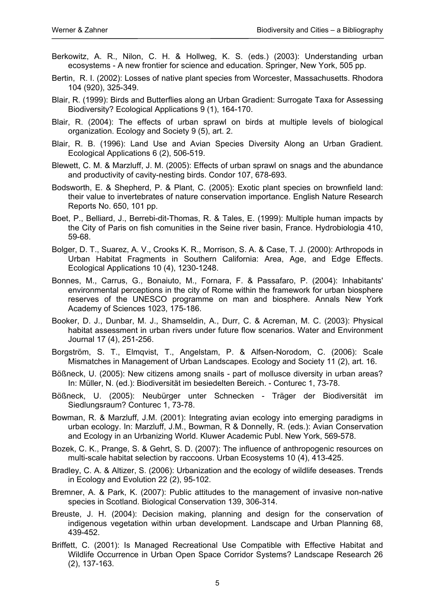- Berkowitz, A. R., Nilon, C. H. & Hollweg, K. S. (eds.) (2003): Understanding urban ecosystems - A new frontier for science and education. Springer, New York, 505 pp.
- Bertin, R. I. (2002): Losses of native plant species from Worcester, Massachusetts. Rhodora 104 (920), 325-349.
- Blair, R. (1999): Birds and Butterflies along an Urban Gradient: Surrogate Taxa for Assessing Biodiversity? Ecological Applications 9 (1), 164-170.
- Blair, R. (2004): The effects of urban sprawl on birds at multiple levels of biological organization. Ecology and Society 9 (5), art. 2.
- Blair, R. B. (1996): Land Use and Avian Species Diversity Along an Urban Gradient. Ecological Applications 6 (2), 506-519.
- Blewett, C. M. & Marzluff, J. M. (2005): Effects of urban sprawl on snags and the abundance and productivity of cavity-nesting birds. Condor 107, 678-693.
- Bodsworth, E. & Shepherd, P. & Plant, C. (2005): Exotic plant species on brownfield land: their value to invertebrates of nature conservation importance. English Nature Research Reports No. 650, 101 pp.
- Boet, P., Belliard, J., Berrebi-dit-Thomas, R. & Tales, E. (1999): Multiple human impacts by the City of Paris on fish comunities in the Seine river basin, France. Hydrobiologia 410, 59-68.
- Bolger, D. T., Suarez, A. V., Crooks K. R., Morrison, S. A. & Case, T. J. (2000): Arthropods in Urban Habitat Fragments in Southern California: Area, Age, and Edge Effects. Ecological Applications 10 (4), 1230-1248.
- Bonnes, M., Carrus, G., Bonaiuto, M., Fornara, F. & Passafaro, P. (2004): Inhabitants' environmental perceptions in the city of Rome within the framework for urban biosphere reserves of the UNESCO programme on man and biosphere. Annals New York Academy of Sciences 1023, 175-186.
- Booker, D. J., Dunbar, M. J., Shamseldin, A., Durr, C. & Acreman, M. C. (2003): Physical habitat assessment in urban rivers under future flow scenarios. Water and Environment Journal 17 (4), 251-256.
- Borgström, S. T., Elmqvist, T., Angelstam, P. & Alfsen-Norodom, C. (2006): Scale Mismatches in Management of Urban Landscapes. Ecology and Society 11 (2), art. 16.
- Bößneck, U. (2005): New citizens among snails part of mollusce diversity in urban areas? In: Müller, N. (ed.): Biodiversität im besiedelten Bereich. - Conturec 1, 73-78.
- Bößneck, U. (2005): Neubürger unter Schnecken Träger der Biodiversität im Siedlungsraum? Conturec 1, 73-78.
- Bowman, R. & Marzluff, J.M. (2001): Integrating avian ecology into emerging paradigms in urban ecology. In: Marzluff, J.M., Bowman, R & Donnelly, R. (eds.): Avian Conservation and Ecology in an Urbanizing World. Kluwer Academic Publ. New York, 569-578.
- Bozek, C. K., Prange, S. & Gehrt, S. D. (2007): The influence of anthropogenic resources on multi-scale habitat selection by raccoons. Urban Ecosystems 10 (4), 413-425.
- Bradley, C. A. & Altizer, S. (2006): Urbanization and the ecology of wildlife deseases. Trends in Ecology and Evolution 22 (2), 95-102.
- Bremner, A. & Park, K. (2007): Public attitudes to the management of invasive non-native species in Scotland. Biological Conservation 139, 306-314.
- Breuste, J. H. (2004): Decision making, planning and design for the conservation of indigenous vegetation within urban development. Landscape and Urban Planning 68, 439-452.
- Briffett, C. (2001): Is Managed Recreational Use Compatible with Effective Habitat and Wildlife Occurrence in Urban Open Space Corridor Systems? Landscape Research 26 (2), 137-163.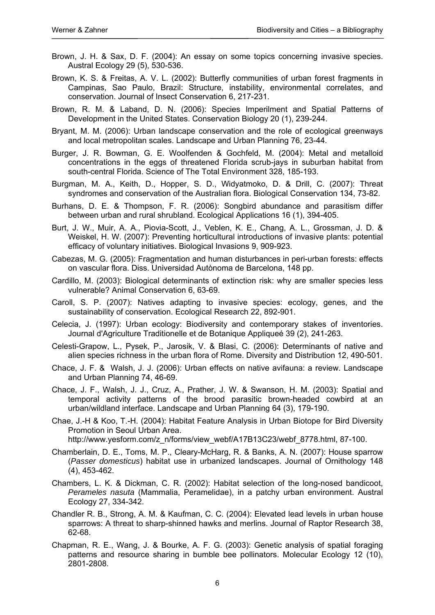- Brown, J. H. & Sax, D. F. (2004): An essay on some topics concerning invasive species. Austral Ecology 29 (5), 530-536.
- Brown, K. S. & Freitas, A. V. L. (2002): Butterfly communities of urban forest fragments in Campinas, Sao Paulo, Brazil: Structure, instability, environmental correlates, and conservation. Journal of Insect Conservation 6, 217-231.
- Brown, R. M. & Laband, D. N. (2006): Species Imperilment and Spatial Patterns of Development in the United States. Conservation Biology 20 (1), 239-244.
- Bryant, M. M. (2006): Urban landscape conservation and the role of ecological greenways and local metropolitan scales. Landscape and Urban Planning 76, 23-44.
- Burger, J. R. Bowman, G. E. Woolfenden & Gochfeld, M. (2004): Metal and metalloid concentrations in the eggs of threatened Florida scrub-jays in suburban habitat from south-central Florida. Science of The Total Environment 328, 185-193.
- Burgman, M. A., Keith, D., Hopper, S. D., Widyatmoko, D. & Drill, C. (2007): Threat syndromes and conservation of the Australian flora. Biological Conservation 134, 73-82.
- Burhans, D. E. & Thompson, F. R. (2006): Songbird abundance and parasitism differ between urban and rural shrubland. Ecological Applications 16 (1), 394-405.
- Burt, J. W., Muir, A. A., Piovia-Scott, J., Veblen, K. E., Chang, A. L., Grossman, J. D. & Weiskel, H. W. (2007): Preventing horticultural introductions of invasive plants: potential efficacy of voluntary initiatives. Biological Invasions 9, 909-923.
- Cabezas, M. G. (2005): Fragmentation and human disturbances in peri-urban forests: effects on vascular flora. Diss. Universidad Autònoma de Barcelona, 148 pp.
- Cardillo, M. (2003): Biological determinants of extinction risk: why are smaller species less vulnerable? Animal Conservation 6, 63-69.
- Caroll, S. P. (2007): Natives adapting to invasive species: ecology, genes, and the sustainability of conservation. Ecological Research 22, 892-901.
- Celecia, J. (1997): Urban ecology: Biodiversity and contemporary stakes of inventories. Journal d'Agriculture Traditionelle et de Botanique Appliqueé 39 (2), 241-263.
- Celesti-Grapow, L., Pysek, P., Jarosik, V. & Blasi, C. (2006): Determinants of native and alien species richness in the urban flora of Rome. Diversity and Distribution 12, 490-501.
- Chace, J. F. & Walsh, J. J. (2006): Urban effects on native avifauna: a review. Landscape and Urban Planning 74, 46-69.
- Chace, J. F., Walsh, J. J., Cruz, A., Prather, J. W. & Swanson, H. M. (2003): Spatial and temporal activity patterns of the brood parasitic brown-headed cowbird at an urban/wildland interface. Landscape and Urban Planning 64 (3), 179-190.
- Chae, J.-H & Koo, T.-H. (2004): Habitat Feature Analysis in Urban Biotope for Bird Diversity Promotion in Seoul Urban Area.
	- http://www.yesform.com/z\_n/forms/view\_webf/A17B13C23/webf\_8778.html, 87-100.
- Chamberlain, D. E., Toms, M. P., Cleary-McHarg, R. & Banks, A. N. (2007): House sparrow (*Passer domesticus*) habitat use in urbanized landscapes. Journal of Ornithology 148 (4), 453-462.
- Chambers, L. K. & Dickman, C. R. (2002): Habitat selection of the long-nosed bandicoot, *Perameles nasuta* (Mammalia, Peramelidae), in a patchy urban environment. Austral Ecology 27, 334-342.
- Chandler R. B., Strong, A. M. & Kaufman, C. C. (2004): Elevated lead levels in urban house sparrows: A threat to sharp-shinned hawks and merlins. Journal of Raptor Research 38, 62-68.
- Chapman, R. E., Wang, J. & Bourke, A. F. G. (2003): Genetic analysis of spatial foraging patterns and resource sharing in bumble bee pollinators. Molecular Ecology 12 (10), 2801-2808.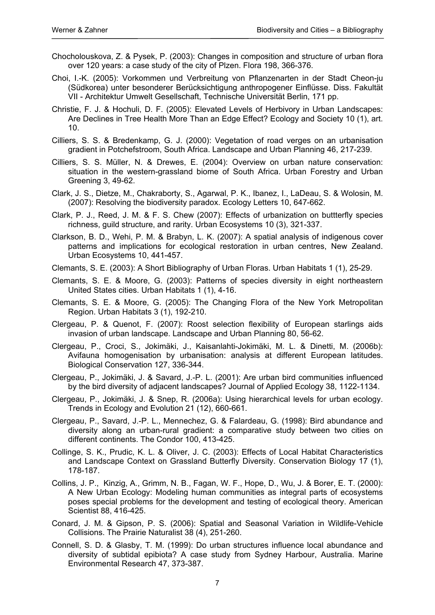- Chocholouskova, Z. & Pysek, P. (2003): Changes in composition and structure of urban flora over 120 years: a case study of the city of Plzen. Flora 198, 366-376.
- Choi, I.-K. (2005): Vorkommen und Verbreitung von Pflanzenarten in der Stadt Cheon-ju (Südkorea) unter besonderer Berücksichtigung anthropogener Einflüsse. Diss. Fakultät VII - Architektur Umwelt Gesellschaft, Technische Universität Berlin, 171 pp.
- Christie, F. J. & Hochuli, D. F. (2005): Elevated Levels of Herbivory in Urban Landscapes: Are Declines in Tree Health More Than an Edge Effect? Ecology and Society 10 (1), art. 10.
- Cilliers, S. S. & Bredenkamp, G. J. (2000): Vegetation of road verges on an urbanisation gradient in Potchefstroom, South Africa. Landscape and Urban Planning 46, 217-239.
- Cilliers, S. S. Müller, N. & Drewes, E. (2004): Overview on urban nature conservation: situation in the western-grassland biome of South Africa. Urban Forestry and Urban Greening 3, 49-62.
- Clark, J. S., Dietze, M., Chakraborty, S., Agarwal, P. K., Ibanez, I., LaDeau, S. & Wolosin, M. (2007): Resolving the biodiversity paradox. Ecology Letters 10, 647-662.
- Clark, P. J., Reed, J. M. & F. S. Chew (2007): Effects of urbanization on buttterfly species richness, guild structure, and rarity. Urban Ecosystems 10 (3), 321-337.
- Clarkson, B. D., Wehi, P. M. & Brabyn, L. K. (2007): A spatial analysis of indigenous cover patterns and implications for ecological restoration in urban centres, New Zealand. Urban Ecosystems 10, 441-457.
- Clemants, S. E. (2003): A Short Bibliography of Urban Floras. Urban Habitats 1 (1), 25-29.
- Clemants, S. E. & Moore, G. (2003): Patterns of species diversity in eight northeastern United States cities. Urban Habitats 1 (1), 4-16.
- Clemants, S. E. & Moore, G. (2005): The Changing Flora of the New York Metropolitan Region. Urban Habitats 3 (1), 192-210.
- Clergeau, P. & Quenot, F. (2007): Roost selection flexibility of European starlings aids invasion of urban landscape. Landscape and Urban Planning 80, 56-62.
- Clergeau, P., Croci, S., Jokimäki, J., Kaisanlahti-Jokimäki, M. L. & Dinetti, M. (2006b): Avifauna homogenisation by urbanisation: analysis at different European latitudes. Biological Conservation 127, 336-344.
- Clergeau, P., Jokimäki, J. & Savard, J.-P. L. (2001): Are urban bird communities influenced by the bird diversity of adjacent landscapes? Journal of Applied Ecology 38, 1122-1134.
- Clergeau, P., Jokimäki, J. & Snep, R. (2006a): Using hierarchical levels for urban ecology. Trends in Ecology and Evolution 21 (12), 660-661.
- Clergeau, P., Savard, J.-P. L., Mennechez, G. & Falardeau, G. (1998): Bird abundance and diversity along an urban-rural gradient: a comparative study between two cities on different continents. The Condor 100, 413-425.
- Collinge, S. K., Prudic, K. L. & Oliver, J. C. (2003): Effects of Local Habitat Characteristics and Landscape Context on Grassland Butterfly Diversity. Conservation Biology 17 (1), 178-187.
- Collins, J. P., Kinzig, A., Grimm, N. B., Fagan, W. F., Hope, D., Wu, J. & Borer, E. T. (2000): A New Urban Ecology: Modeling human communities as integral parts of ecosystems poses special problems for the development and testing of ecological theory. American Scientist 88, 416-425.
- Conard, J. M. & Gipson, P. S. (2006): Spatial and Seasonal Variation in Wildlife-Vehicle Collisions. The Prairie Naturalist 38 (4), 251-260.
- Connell, S. D. & Glasby, T. M. (1999): Do urban structures influence local abundance and diversity of subtidal epibiota? A case study from Sydney Harbour, Australia. Marine Environmental Research 47, 373-387.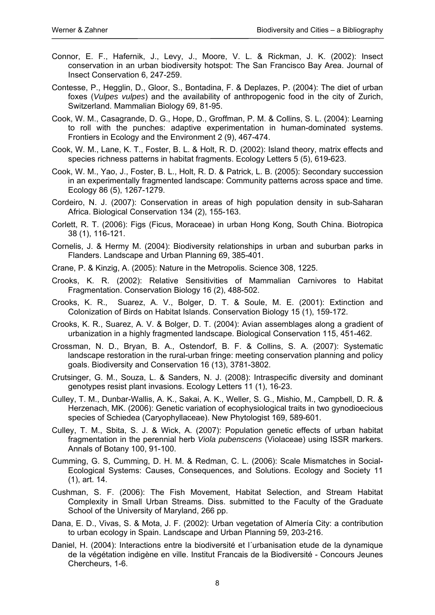- Connor, E. F., Hafernik, J., Levy, J., Moore, V. L. & Rickman, J. K. (2002): Insect conservation in an urban biodiversity hotspot: The San Francisco Bay Area. Journal of Insect Conservation 6, 247-259.
- Contesse, P., Hegglin, D., Gloor, S., Bontadina, F. & Deplazes, P. (2004): The diet of urban foxes (*Vulpes vulpes*) and the availability of anthropogenic food in the city of Zurich, Switzerland. Mammalian Biology 69, 81-95.
- Cook, W. M., Casagrande, D. G., Hope, D., Groffman, P. M. & Collins, S. L. (2004): Learning to roll with the punches: adaptive experimentation in human-dominated systems. Frontiers in Ecology and the Environment 2 (9), 467-474.
- Cook, W. M., Lane, K. T., Foster, B. L. & Holt, R. D. (2002): Island theory, matrix effects and species richness patterns in habitat fragments. Ecology Letters 5 (5), 619-623.
- Cook, W. M., Yao, J., Foster, B. L., Holt, R. D. & Patrick, L. B. (2005): Secondary succession in an experimentally fragmented landscape: Community patterns across space and time. Ecology 86 (5), 1267-1279.
- Cordeiro, N. J. (2007): Conservation in areas of high population density in sub-Saharan Africa. Biological Conservation 134 (2), 155-163.
- Corlett, R. T. (2006): Figs (Ficus, Moraceae) in urban Hong Kong, South China. Biotropica 38 (1), 116-121.
- Cornelis, J. & Hermy M. (2004): Biodiversity relationships in urban and suburban parks in Flanders. Landscape and Urban Planning 69, 385-401.
- Crane, P. & Kinzig, A. (2005): Nature in the Metropolis. Science 308, 1225.
- Crooks, K. R. (2002): Relative Sensitivities of Mammalian Carnivores to Habitat Fragmentation. Conservation Biology 16 (2), 488-502.
- Crooks, K. R., Suarez, A. V., Bolger, D. T. & Soule, M. E. (2001): Extinction and Colonization of Birds on Habitat Islands. Conservation Biology 15 (1), 159-172.
- Crooks, K. R., Suarez, A. V. & Bolger, D. T. (2004): Avian assemblages along a gradient of urbanization in a highly fragmented landscape. Biological Conservation 115, 451-462.
- Crossman, N. D., Bryan, B. A., Ostendorf, B. F. & Collins, S. A. (2007): Systematic landscape restoration in the rural-urban fringe: meeting conservation planning and policy goals. Biodiversity and Conservation 16 (13), 3781-3802.
- Crutsinger, G. M., Souza, L. & Sanders, N. J. (2008): Intraspecific diversity and dominant genotypes resist plant invasions. Ecology Letters 11 (1), 16-23.
- Culley, T. M., Dunbar-Wallis, A. K., Sakai, A. K., Weller, S. G., Mishio, M., Campbell, D. R. & Herzenach, MK. (2006): Genetic variation of ecophysiological traits in two gynodioecious species of Schiedea (Caryophyllaceae). New Phytologist 169, 589-601.
- Culley, T. M., Sbita, S. J. & Wick, A. (2007): Population genetic effects of urban habitat fragmentation in the perennial herb *Viola pubenscens* (Violaceae) using ISSR markers. Annals of Botany 100, 91-100.
- Cumming, G. S, Cumming, D. H. M. & Redman, C. L. (2006): Scale Mismatches in Social-Ecological Systems: Causes, Consequences, and Solutions. Ecology and Society 11 (1), art. 14.
- Cushman, S. F. (2006): The Fish Movement, Habitat Selection, and Stream Habitat Complexity in Small Urban Streams. Diss. submitted to the Faculty of the Graduate School of the University of Maryland, 266 pp.
- Dana, E. D., Vivas, S. & Mota, J. F. (2002): Urban vegetation of Almería City: a contribution to urban ecology in Spain. Landscape and Urban Planning 59, 203-216.
- Daniel, H. (2004): Interactions entre la biodiversité et l´urbanisation etude de la dynamique de la végétation indigène en ville. Institut Francais de la Biodiversité - Concours Jeunes Chercheurs, 1-6.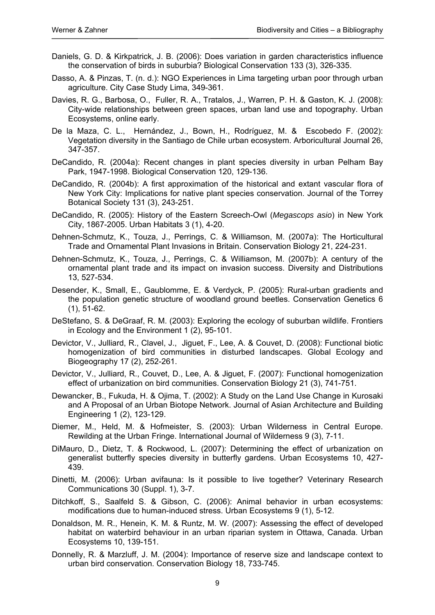- Daniels, G. D. & Kirkpatrick, J. B. (2006): Does variation in garden characteristics influence the conservation of birds in suburbia? Biological Conservation 133 (3), 326-335.
- Dasso, A. & Pinzas, T. (n. d.): NGO Experiences in Lima targeting urban poor through urban agriculture. City Case Study Lima, 349-361.
- Davies, R. G., Barbosa, O., Fuller, R. A., Tratalos, J., Warren, P. H. & Gaston, K. J. (2008): City-wide relationships between green spaces, urban land use and topography. Urban Ecosystems, online early.
- De la Maza, C. L., Hernández, J., Bown, H., Rodríguez, M. & Escobedo F. (2002): Vegetation diversity in the Santiago de Chile urban ecosystem. Arboricultural Journal 26, 347-357.
- DeCandido, R. (2004a): Recent changes in plant species diversity in urban Pelham Bay Park, 1947-1998. Biological Conservation 120, 129-136.
- DeCandido, R. (2004b): A first approximation of the historical and extant vascular flora of New York City: Implications for native plant species conservation. Journal of the Torrey Botanical Society 131 (3), 243-251.
- DeCandido, R. (2005): History of the Eastern Screech-Owl (*Megascops asio*) in New York City, 1867-2005. Urban Habitats 3 (1), 4-20.
- Dehnen-Schmutz, K., Touza, J., Perrings, C. & Williamson, M. (2007a): The Horticultural Trade and Ornamental Plant Invasions in Britain. Conservation Biology 21, 224-231.
- Dehnen-Schmutz, K., Touza, J., Perrings, C. & Williamson, M. (2007b): A century of the ornamental plant trade and its impact on invasion success. Diversity and Distributions 13, 527-534.
- Desender, K., Small, E., Gaublomme, E. & Verdyck, P. (2005): Rural-urban gradients and the population genetic structure of woodland ground beetles. Conservation Genetics 6 (1), 51-62.
- DeStefano, S. & DeGraaf, R. M. (2003): Exploring the ecology of suburban wildlife. Frontiers in Ecology and the Environment 1 (2), 95-101.
- Devictor, V., Julliard, R., Clavel, J., Jiguet, F., Lee, A. & Couvet, D. (2008): Functional biotic homogenization of bird communities in disturbed landscapes. Global Ecology and Biogeography 17 (2), 252-261.
- Devictor, V., Julliard, R., Couvet, D., Lee, A. & Jiguet, F. (2007): Functional homogenization effect of urbanization on bird communities. Conservation Biology 21 (3), 741-751.
- Dewancker, B., Fukuda, H. & Ojima, T. (2002): A Study on the Land Use Change in Kurosaki and A Proposal of an Urban Biotope Network. Journal of Asian Architecture and Building Engineering 1 (2), 123-129.
- Diemer, M., Held, M. & Hofmeister, S. (2003): Urban Wilderness in Central Europe. Rewilding at the Urban Fringe. International Journal of Wilderness 9 (3), 7-11.
- DiMauro, D., Dietz, T. & Rockwood, L. (2007): Determining the effect of urbanization on generalist butterfly species diversity in butterfly gardens. Urban Ecosystems 10, 427- 439.
- Dinetti, M. (2006): Urban avifauna: Is it possible to live together? Veterinary Research Communications 30 (Suppl. 1), 3-7.
- Ditchkoff, S., Saalfeld S. & Gibson, C. (2006): Animal behavior in urban ecosystems: modifications due to human-induced stress. Urban Ecosystems 9 (1), 5-12.
- Donaldson, M. R., Henein, K. M. & Runtz, M. W. (2007): Assessing the effect of developed habitat on waterbird behaviour in an urban riparian system in Ottawa, Canada. Urban Ecosystems 10, 139-151.
- Donnelly, R. & Marzluff, J. M. (2004): Importance of reserve size and landscape context to urban bird conservation. Conservation Biology 18, 733-745.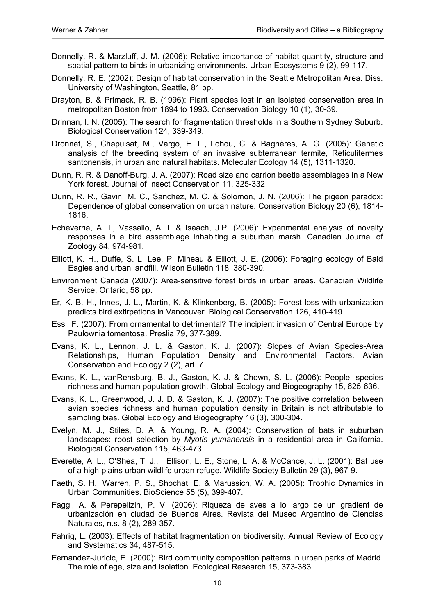- Donnelly, R. & Marzluff, J. M. (2006): Relative importance of habitat quantity, structure and spatial pattern to birds in urbanizing environments. Urban Ecosystems 9 (2), 99-117.
- Donnelly, R. E. (2002): Design of habitat conservation in the Seattle Metropolitan Area. Diss. University of Washington, Seattle, 81 pp.
- Drayton, B. & Primack, R. B. (1996): Plant species lost in an isolated conservation area in metropolitan Boston from 1894 to 1993. Conservation Biology 10 (1), 30-39.
- Drinnan, I. N. (2005): The search for fragmentation thresholds in a Southern Sydney Suburb. Biological Conservation 124, 339-349.
- Dronnet, S., Chapuisat, M., Vargo, E. L., Lohou, C. & Bagnères, A. G. (2005): Genetic analysis of the breeding system of an invasive subterranean termite, Reticulitermes santonensis, in urban and natural habitats. Molecular Ecology 14 (5), 1311-1320.
- Dunn, R. R. & Danoff-Burg, J. A. (2007): Road size and carrion beetle assemblages in a New York forest. Journal of Insect Conservation 11, 325-332.
- Dunn, R. R., Gavin, M. C., Sanchez, M. C. & Solomon, J. N. (2006): The pigeon paradox: Dependence of global conservation on urban nature. Conservation Biology 20 (6), 1814- 1816.
- Echeverria, A. I., Vassallo, A. I. & Isaach, J.P. (2006): Experimental analysis of novelty responses in a bird assemblage inhabiting a suburban marsh. Canadian Journal of Zoology 84, 974-981.
- Elliott, K. H., Duffe, S. L. Lee, P. Mineau & Elliott, J. E. (2006): Foraging ecology of Bald Eagles and urban landfill. Wilson Bulletin 118, 380-390.
- Environment Canada (2007): Area-sensitive forest birds in urban areas. Canadian Wildlife Service, Ontario, 58 pp.
- Er, K. B. H., Innes, J. L., Martin, K. & Klinkenberg, B. (2005): Forest loss with urbanization predicts bird extirpations in Vancouver. Biological Conservation 126, 410-419.
- Essl, F. (2007): From ornamental to detrimental? The incipient invasion of Central Europe by Paulownia tomentosa. Preslia 79, 377-389.
- Evans, K. L., Lennon, J. L. & Gaston, K. J. (2007): Slopes of Avian Species-Area Relationships, Human Population Density and Environmental Factors. Avian Conservation and Ecology 2 (2), art. 7.
- Evans, K. L., vanRensburg, B. J., Gaston, K. J. & Chown, S. L. (2006): People, species richness and human population growth. Global Ecology and Biogeography 15, 625-636.
- Evans, K. L., Greenwood, J. J. D. & Gaston, K. J. (2007): The positive correlation between avian species richness and human population density in Britain is not attributable to sampling bias. Global Ecology and Biogeography 16 (3), 300-304.
- Evelyn, M. J., Stiles, D. A. & Young, R. A. (2004): Conservation of bats in suburban landscapes: roost selection by *Myotis yumanensis* in a residential area in California. Biological Conservation 115, 463-473.
- Everette, A. L., O'Shea, T. J., Ellison, L. E., Stone, L. A. & McCance, J. L. (2001): Bat use of a high-plains urban wildlife urban refuge. Wildlife Society Bulletin 29 (3), 967-9.
- Faeth, S. H., Warren, P. S., Shochat, E. & Marussich, W. A. (2005): Trophic Dynamics in Urban Communities. BioScience 55 (5), 399-407.
- Faggi, A. & Perepelizin, P. V. (2006): Riqueza de aves a lo largo de un gradient de urbanización en ciudad de Buenos Aires. Revista del Museo Argentino de Ciencias Naturales, n.s. 8 (2), 289-357.
- Fahrig, L. (2003): Effects of habitat fragmentation on biodiversity. Annual Review of Ecology and Systematics 34, 487-515.
- Fernandez-Juricic, E. (2000): Bird community composition patterns in urban parks of Madrid. The role of age, size and isolation. Ecological Research 15, 373-383.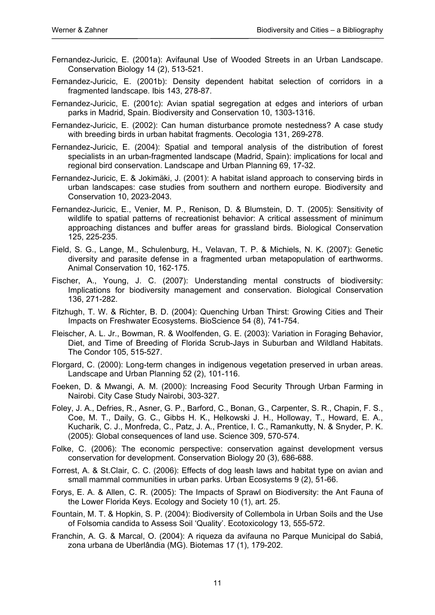- Fernandez-Juricic, E. (2001a): Avifaunal Use of Wooded Streets in an Urban Landscape. Conservation Biology 14 (2), 513-521.
- Fernandez-Juricic, E. (2001b): Density dependent habitat selection of corridors in a fragmented landscape. Ibis 143, 278-87.
- Fernandez-Juricic, E. (2001c): Avian spatial segregation at edges and interiors of urban parks in Madrid, Spain. Biodiversity and Conservation 10, 1303-1316.
- Fernandez-Juricic, E. (2002): Can human disturbance promote nestedness? A case study with breeding birds in urban habitat fragments. Oecologia 131, 269-278.
- Fernandez-Juricic, E. (2004): Spatial and temporal analysis of the distribution of forest specialists in an urban-fragmented landscape (Madrid, Spain): implications for local and regional bird conservation. Landscape and Urban Planning 69, 17-32.
- Fernandez-Juricic, E. & Jokimäki, J. (2001): A habitat island approach to conserving birds in urban landscapes: case studies from southern and northern europe. Biodiversity and Conservation 10, 2023-2043.
- Fernandez-Juricic, E., Venier, M. P., Renison, D. & Blumstein, D. T. (2005): Sensitivity of wildlife to spatial patterns of recreationist behavior: A critical assessment of minimum approaching distances and buffer areas for grassland birds. Biological Conservation 125, 225-235.
- Field, S. G., Lange, M., Schulenburg, H., Velavan, T. P. & Michiels, N. K. (2007): Genetic diversity and parasite defense in a fragmented urban metapopulation of earthworms. Animal Conservation 10, 162-175.
- Fischer, A., Young, J. C. (2007): Understanding mental constructs of biodiversity: Implications for biodiversity management and conservation. Biological Conservation 136, 271-282.
- Fitzhugh, T. W. & Richter, B. D. (2004): Quenching Urban Thirst: Growing Cities and Their Impacts on Freshwater Ecosystems. BioScience 54 (8), 741-754.
- Fleischer, A. L. Jr., Bowman, R. & Woolfenden, G. E. (2003): Variation in Foraging Behavior, Diet, and Time of Breeding of Florida Scrub-Jays in Suburban and Wildland Habitats. The Condor 105, 515-527.
- Florgard, C. (2000): Long-term changes in indigenous vegetation preserved in urban areas. Landscape and Urban Planning 52 (2), 101-116.
- Foeken, D. & Mwangi, A. M. (2000): Increasing Food Security Through Urban Farming in Nairobi. City Case Study Nairobi, 303-327.
- Foley, J. A., Defries, R., Asner, G. P., Barford, C., Bonan, G., Carpenter, S. R., Chapin, F. S., Coe, M. T., Daily, G. C., Gibbs H. K., Helkowski J. H., Holloway, T., Howard, E. A., Kucharik, C. J., Monfreda, C., Patz, J. A., Prentice, I. C., Ramankutty, N. & Snyder, P. K. (2005): Global consequences of land use. Science 309, 570-574.
- Folke, C. (2006): The economic perspective: conservation against development versus conservation for development. Conservation Biology 20 (3), 686-688.
- Forrest, A. & St.Clair, C. C. (2006): Effects of dog leash laws and habitat type on avian and small mammal communities in urban parks. Urban Ecosystems 9 (2), 51-66.
- Forys, E. A. & Allen, C. R. (2005): The Impacts of Sprawl on Biodiversity: the Ant Fauna of the Lower Florida Keys. Ecology and Society 10 (1), art. 25.
- Fountain, M. T. & Hopkin, S. P. (2004): Biodiversity of Collembola in Urban Soils and the Use of Folsomia candida to Assess Soil 'Quality'. Ecotoxicology 13, 555-572.
- Franchin, A. G. & Marcal, O. (2004): A riqueza da avifauna no Parque Municipal do Sabiá, zona urbana de Uberlândia (MG). Biotemas 17 (1), 179-202.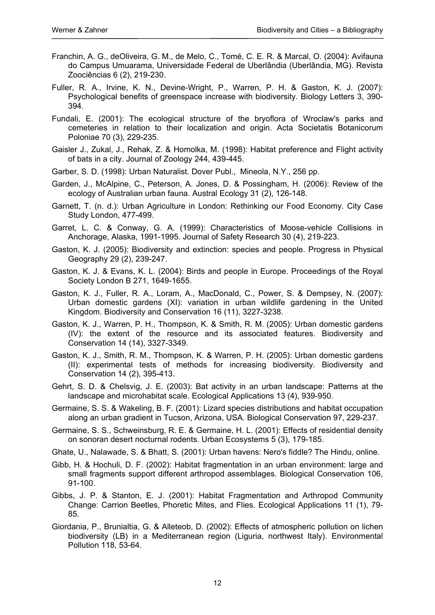- Franchin, A. G., deOliveira, G. M., de Melo, C., Tomé, C. E. R. & Marcal, O. (2004): Avifauna do Campus Umuarama, Universidade Federal de Uberlândia (Uberlândia, MG). Revista Zoociências 6 (2), 219-230.
- Fuller, R. A., Irvine, K. N., Devine-Wright, P., Warren, P. H. & Gaston, K. J. (2007): Psychological benefits of greenspace increase with biodiversity. Biology Letters 3, 390- 394.
- Fundali, E. (2001): The ecological structure of the bryoflora of Wroclaw's parks and cemeteries in relation to their localization and origin. Acta Societatis Botanicorum Poloniae 70 (3), 229-235.
- Gaisler J., Zukal, J., Rehak, Z. & Homolka, M. (1998): Habitat preference and Flight activity of bats in a city. Journal of Zoology 244, 439-445.
- Garber, S. D. (1998): Urban Naturalist. Dover Publ., Mineola, N.Y., 256 pp.
- Garden, J., McAlpine, C., Peterson, A. Jones, D. & Possingham, H. (2006): Review of the ecology of Australian urban fauna. Austral Ecology 31 (2), 126-148.
- Garnett, T. (n. d.): Urban Agriculture in London: Rethinking our Food Economy. City Case Study London, 477-499.
- Garret, L. C. & Conway, G. A. (1999): Characteristics of Moose-vehicle Collisions in Anchorage, Alaska, 1991-1995. Journal of Safety Research 30 (4), 219-223.
- Gaston, K. J. (2005): Biodiversity and extinction: species and people. Progress in Physical Geography 29 (2), 239-247.
- Gaston, K. J. & Evans, K. L. (2004): Birds and people in Europe. Proceedings of the Royal Society London B 271, 1649-1655.
- Gaston, K. J., Fuller, R. A., Loram, A., MacDonald, C., Power, S. & Dempsey, N. (2007): Urban domestic gardens (XI): variation in urban wildlife gardening in the United Kingdom. Biodiversity and Conservation 16 (11), 3227-3238.
- Gaston, K. J., Warren, P. H., Thompson, K. & Smith, R. M. (2005): Urban domestic gardens (IV): the extent of the resource and its associated features. Biodiversity and Conservation 14 (14), 3327-3349.
- Gaston, K. J., Smith, R. M., Thompson, K. & Warren, P. H. (2005): Urban domestic gardens (II): experimental tests of methods for increasing biodiversity. Biodiversity and Conservation 14 (2), 395-413.
- Gehrt, S. D. & Chelsvig, J. E. (2003): Bat activity in an urban landscape: Patterns at the landscape and microhabitat scale. Ecological Applications 13 (4), 939-950.
- Germaine, S. S. & Wakeling, B. F. (2001): Lizard species distributions and habitat occupation along an urban gradient in Tucson, Arizona, USA. Biological Conservation 97, 229-237.
- Germaine, S. S., Schweinsburg, R. E. & Germaine, H. L. (2001): Effects of residential density on sonoran desert nocturnal rodents. Urban Ecosystems 5 (3), 179-185.
- Ghate, U., Nalawade, S. & Bhatt, S. (2001): Urban havens: Nero's fiddle? The Hindu, online.
- Gibb, H. & Hochuli, D. F. (2002): Habitat fragmentation in an urban environment: large and small fragments support different arthropod assemblages. Biological Conservation 106, 91-100.
- Gibbs, J. P. & Stanton, E. J. (2001): Habitat Fragmentation and Arthropod Community Change: Carrion Beetles, Phoretic Mites, and Flies. Ecological Applications 11 (1), 79- 85.
- Giordania, P., Brunialtia, G. & Alleteob, D. (2002): Effects of atmospheric pollution on lichen biodiversity (LB) in a Mediterranean region (Liguria, northwest Italy). Environmental Pollution 118, 53-64.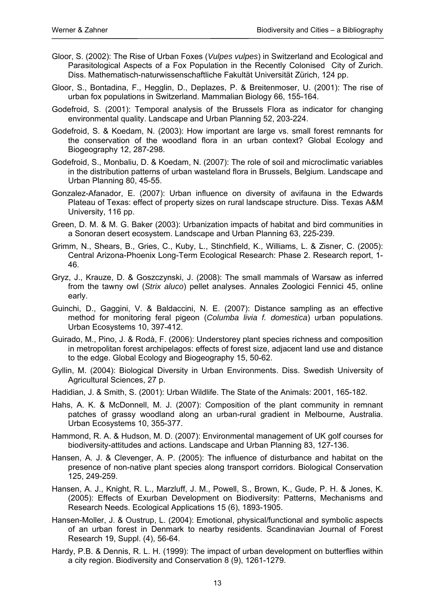- Gloor, S. (2002): The Rise of Urban Foxes (*Vulpes vulpes*) in Switzerland and Ecological and Parasitological Aspects of a Fox Population in the Recently Colonised City of Zurich. Diss. Mathematisch-naturwissenschaftliche Fakultät Universität Zürich, 124 pp.
- Gloor, S., Bontadina, F., Hegglin, D., Deplazes, P. & Breitenmoser, U. (2001): The rise of urban fox populations in Switzerland. Mammalian Biology 66, 155-164.
- Godefroid, S. (2001): Temporal analysis of the Brussels Flora as indicator for changing environmental quality. Landscape and Urban Planning 52, 203-224.
- Godefroid, S. & Koedam, N. (2003): How important are large vs. small forest remnants for the conservation of the woodland flora in an urban context? Global Ecology and Biogeography 12, 287-298.
- Godefroid, S., Monbaliu, D. & Koedam, N. (2007): The role of soil and microclimatic variables in the distribution patterns of urban wasteland flora in Brussels, Belgium. Landscape and Urban Planning 80, 45-55.
- Gonzalez-Afanador, E. (2007): Urban influence on diversity of avifauna in the Edwards Plateau of Texas: effect of property sizes on rural landscape structure. Diss. Texas A&M University, 116 pp.
- Green, D. M. & M. G. Baker (2003): Urbanization impacts of habitat and bird communities in a Sonoran desert ecosystem. Landscape and Urban Planning 63, 225-239.
- Grimm, N., Shears, B., Gries, C., Kuby, L., Stinchfield, K., Williams, L. & Zisner, C. (2005): Central Arizona-Phoenix Long-Term Ecological Research: Phase 2. Research report, 1- 46.
- Gryz, J., Krauze, D. & Goszczynski, J. (2008): The small mammals of Warsaw as inferred from the tawny owl (*Strix aluco*) pellet analyses. Annales Zoologici Fennici 45, online early.
- Guinchi, D., Gaggini, V. & Baldaccini, N. E. (2007): Distance sampling as an effective method for monitoring feral pigeon (*Columba livia f. domestica*) urban populations. Urban Ecosystems 10, 397-412.
- Guirado, M., Pino, J. & Rodà, F. (2006): Understorey plant species richness and composition in metropolitan forest archipelagos: effects of forest size, adjacent land use and distance to the edge. Global Ecology and Biogeography 15, 50-62.
- Gyllin, M. (2004): Biological Diversity in Urban Environments. Diss. Swedish University of Agricultural Sciences, 27 p.
- Hadidian, J. & Smith, S. (2001): Urban Wildlife. The State of the Animals: 2001, 165-182.
- Hahs, A. K. & McDonnell, M. J. (2007): Composition of the plant community in remnant patches of grassy woodland along an urban-rural gradient in Melbourne, Australia. Urban Ecosystems 10, 355-377.
- Hammond, R. A. & Hudson, M. D. (2007): Environmental management of UK golf courses for biodiversity-attitudes and actions. Landscape and Urban Planning 83, 127-136.
- Hansen, A. J. & Clevenger, A. P. (2005): The influence of disturbance and habitat on the presence of non-native plant species along transport corridors. Biological Conservation 125, 249-259.
- Hansen, A. J., Knight, R. L., Marzluff, J. M., Powell, S., Brown, K., Gude, P. H. & Jones, K. (2005): Effects of Exurban Development on Biodiversity: Patterns, Mechanisms and Research Needs. Ecological Applications 15 (6), 1893-1905.
- Hansen-Moller, J. & Oustrup, L. (2004): Emotional, physical/functional and symbolic aspects of an urban forest in Denmark to nearby residents. Scandinavian Journal of Forest Research 19, Suppl. (4), 56-64.
- Hardy, P.B. & Dennis, R. L. H. (1999): The impact of urban development on butterflies within a city region. Biodiversity and Conservation 8 (9), 1261-1279.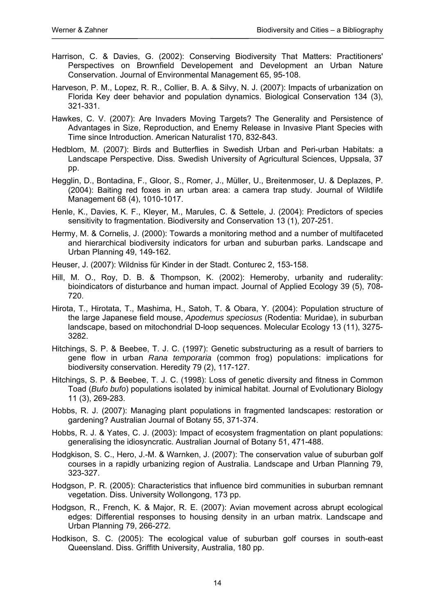- Harrison, C. & Davies, G. (2002): Conserving Biodiversity That Matters: Practitioners' Perspectives on Brownfield Developement and Development an Urban Nature Conservation. Journal of Environmental Management 65, 95-108.
- Harveson, P. M., Lopez, R. R., Collier, B. A. & Silvy, N. J. (2007): Impacts of urbanization on Florida Key deer behavior and population dynamics. Biological Conservation 134 (3), 321-331.
- Hawkes, C. V. (2007): Are Invaders Moving Targets? The Generality and Persistence of Advantages in Size, Reproduction, and Enemy Release in Invasive Plant Species with Time since Introduction. American Naturalist 170, 832-843.
- Hedblom, M. (2007): Birds and Butterflies in Swedish Urban and Peri-urban Habitats: a Landscape Perspective. Diss. Swedish University of Agricultural Sciences, Uppsala, 37 pp.
- Hegglin, D., Bontadina, F., Gloor, S., Romer, J., Müller, U., Breitenmoser, U. & Deplazes, P. (2004): Baiting red foxes in an urban area: a camera trap study. Journal of Wildlife Management 68 (4), 1010-1017.
- Henle, K., Davies, K. F., Kleyer, M., Marules, C. & Settele, J. (2004): Predictors of species sensitivity to fragmentation. Biodiversity and Conservation 13 (1), 207-251.
- Hermy, M. & Cornelis, J. (2000): Towards a monitoring method and a number of multifaceted and hierarchical biodiversity indicators for urban and suburban parks. Landscape and Urban Planning 49, 149-162.
- Heuser, J. (2007): Wildniss für Kinder in der Stadt. Conturec 2, 153-158.
- Hill, M. O., Roy, D. B. & Thompson, K. (2002): Hemeroby, urbanity and ruderality: bioindicators of disturbance and human impact. Journal of Applied Ecology 39 (5), 708- 720.
- Hirota, T., Hirotata, T., Mashima, H., Satoh, T. & Obara, Y. (2004): Population structure of the large Japanese field mouse, *Apodemus speciosus* (Rodentia: Muridae), in suburban landscape, based on mitochondrial D-loop sequences. Molecular Ecology 13 (11), 3275- 3282.
- Hitchings, S. P. & Beebee, T. J. C. (1997): Genetic substructuring as a result of barriers to gene flow in urban *Rana temporaria* (common frog) populations: implications for biodiversity conservation. Heredity 79 (2), 117-127.
- Hitchings, S. P. & Beebee, T. J. C. (1998): Loss of genetic diversity and fitness in Common Toad (*Bufo bufo*) populations isolated by inimical habitat. Journal of Evolutionary Biology 11 (3), 269-283.
- Hobbs, R. J. (2007): Managing plant populations in fragmented landscapes: restoration or gardening? Australian Journal of Botany 55, 371-374.
- Hobbs, R. J. & Yates, C. J. (2003): Impact of ecosystem fragmentation on plant populations: generalising the idiosyncratic. Australian Journal of Botany 51, 471-488.
- Hodgkison, S. C., Hero, J.-M. & Warnken, J. (2007): The conservation value of suburban golf courses in a rapidly urbanizing region of Australia. Landscape and Urban Planning 79, 323-327.
- Hodgson, P. R. (2005): Characteristics that influence bird communities in suburban remnant vegetation. Diss. University Wollongong, 173 pp.
- Hodgson, R., French, K. & Major, R. E. (2007): Avian movement across abrupt ecological edges: Differential responses to housing density in an urban matrix. Landscape and Urban Planning 79, 266-272.
- Hodkison, S. C. (2005): The ecological value of suburban golf courses in south-east Queensland. Diss. Griffith University, Australia, 180 pp.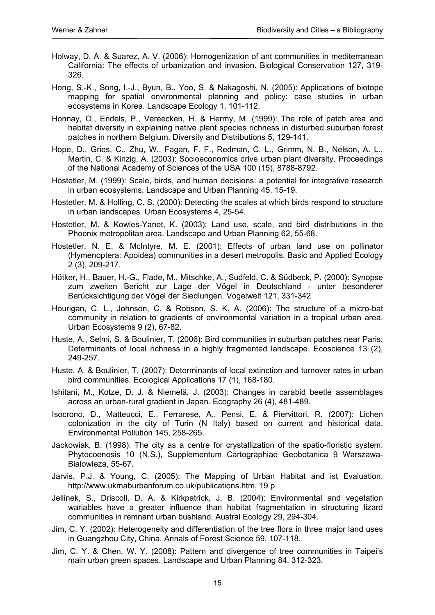- Holway, D. A. & Suarez, A. V. (2006): Homogenization of ant communities in mediterranean California: The effects of urbanization and invasion. Biological Conservation 127, 319- 326.
- Hong, S.-K., Song, I.-J., Byun, B., Yoo, S. & Nakagoshi, N. (2005): Applications of biotope mapping for spatial environmental planning and policy: case studies in urban ecosystems in Korea. Landscape Ecology 1, 101-112.
- Honnay, O., Endels, P., Vereecken, H. & Hermy, M. (1999): The role of patch area and habitat diversity in explaining native plant species richness in disturbed suburban forest patches in northern Belgium. Diversity and Distributions 5, 129-141.
- Hope, D., Gries, C., Zhu, W., Fagan, F. F., Redman, C. L., Grimm, N. B., Nelson, A. L., Martin, C. & Kinzig, A. (2003): Socioeconomics drive urban plant diversity. Proceedings of the National Academy of Sciences of the USA 100 (15), 8788-8792.
- Hostetler, M. (1999): Scale, birds, and human decisions: a potential for integrative research in urban ecosystems. Landscape and Urban Planning 45, 15-19.
- Hostetler, M. & Holling, C. S. (2000): Detecting the scales at which birds respond to structure in urban landscapes. Urban Ecosystems 4, 25-54.
- Hostetler, M. & Kowles-Yanet, K. (2003): Land use, scale, and bird distributions in the Phoenix metropolitan area. Landscape and Urban Planning 62, 55-68.
- Hostetler, N. E. & McIntyre, M. E. (2001): Effects of urban land use on pollinator (Hymenoptera: Apoidea) communities in a desert metropolis. Basic and Applied Ecology 2 (3), 209-217.
- Hötker, H., Bauer, H.-G., Flade, M., Mitschke, A., Sudfeld, C. & Südbeck, P. (2000): Synopse zum zweiten Bericht zur Lage der Vögel in Deutschland - unter besonderer Berücksichtigung der Vögel der Siedlungen. Vogelwelt 121, 331-342.
- Hourigan, C. L., Johnson, C. & Robson, S. K. A. (2006): The structure of a micro-bat community in relation to gradients of environmental variation in a tropical urban area. Urban Ecosystems 9 (2), 67-82.
- Huste, A., Selmi, S. & Boulinier, T. (2006): Bird communities in suburban patches near Paris: Determinants of local richness in a highly fragmented landscape. Ecoscience 13 (2), 249-257.
- Huste, A. & Boulinier, T. (2007): Determinants of local extinction and turnover rates in urban bird communities. Ecological Applications 17 (1), 168-180.
- Ishitani, M., Kotze, D. J. & Niemelä, J. (2003): Changes in carabid beetle assemblages across an urban-rural gradient in Japan. Ecography 26 (4), 481-489.
- Isocrono, D., Matteucci, E., Ferrarese, A., Pensi, E. & Piervittori, R. (2007): Lichen colonization in the city of Turin (N Italy) based on current and historical data. Environmental Pollution 145, 258-265.
- Jackowiak, B. (1998): The city as a centre for crystallization of the spatio-floristic system. Phytocoenosis 10 (N.S.), Supplementum Cartographiae Geobotanica 9 Warszawa-Bialowieza, 55-67.
- Jarvis, P.J. & Young, C. (2005): The Mapping of Urban Habitat and ist Evaluation. http://www.ukmaburbanforum.co.uk/publications.htm, 19 p.
- Jellinek, S., Driscoll, D. A. & Kirkpatrick, J. B. (2004): Environmental and vegetation wariables have a greater influence than habitat fragmentation in structuring lizard communities in remnant urban bushland. Austral Ecology 29, 294-304.
- Jim, C. Y. (2002): Heterogeneity and differentiation of the tree flora in three major land uses in Guangzhou City, China. Annals of Forest Science 59, 107-118.
- Jim, C. Y. & Chen, W. Y. (2008): Pattern and divergence of tree communities in Taipei's main urban green spaces. Landscape and Urban Planning 84, 312-323.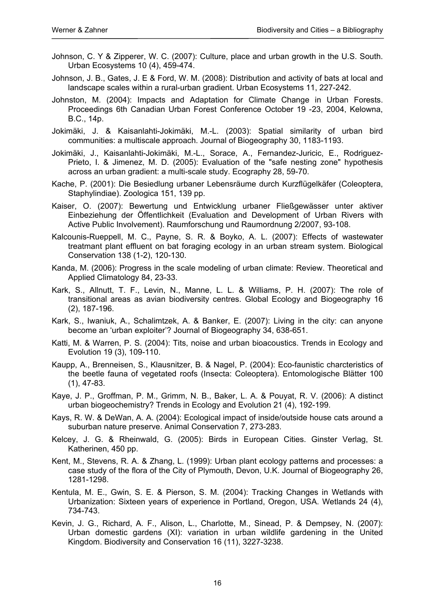- Johnson, C. Y & Zipperer, W. C. (2007): Culture, place and urban growth in the U.S. South. Urban Ecosystems 10 (4), 459-474.
- Johnson, J. B., Gates, J. E & Ford, W. M. (2008): Distribution and activity of bats at local and landscape scales within a rural-urban gradient. Urban Ecosystems 11, 227-242.
- Johnston, M. (2004): Impacts and Adaptation for Climate Change in Urban Forests. Proceedings 6th Canadian Urban Forest Conference October 19 -23, 2004, Kelowna, B.C., 14p.
- Jokimäki, J. & Kaisanlahti-Jokimäki, M.-L. (2003): Spatial similarity of urban bird communities: a multiscale approach. Journal of Biogeography 30, 1183-1193.
- Jokimäki, J., Kaisanlahti-Jokimäki, M.-L., Sorace, A., Fernandez-Juricic, E., Rodriguez-Prieto, I. & Jimenez, M. D. (2005): Evaluation of the "safe nesting zone" hypothesis across an urban gradient: a multi-scale study. Ecography 28, 59-70.
- Kache, P. (2001): Die Besiedlung urbaner Lebensräume durch Kurzflügelkäfer (Coleoptera, Staphylindiae). Zoologica 151, 139 pp.
- Kaiser, O. (2007): Bewertung und Entwicklung urbaner Fließgewässer unter aktiver Einbeziehung der Öffentlichkeit (Evaluation and Development of Urban Rivers with Active Public Involvement). Raumforschung und Raumordnung 2/2007, 93-108.
- Kalcounis-Rueppell, M. C., Payne, S. R. & Boyko, A. L. (2007): Effects of wastewater treatmant plant effluent on bat foraging ecology in an urban stream system. Biological Conservation 138 (1-2), 120-130.
- Kanda, M. (2006): Progress in the scale modeling of urban climate: Review. Theoretical and Applied Climatology 84, 23-33.
- Kark, S., Allnutt, T. F., Levin, N., Manne, L. L. & Williams, P. H. (2007): The role of transitional areas as avian biodiversity centres. Global Ecology and Biogeography 16 (2), 187-196.
- Kark, S., Iwaniuk, A., Schalimtzek, A. & Banker, E. (2007): Living in the city: can anyone become an 'urban exploiter'? Journal of Biogeography 34, 638-651.
- Katti, M. & Warren, P. S. (2004): Tits, noise and urban bioacoustics. Trends in Ecology and Evolution 19 (3), 109-110.
- Kaupp, A., Brenneisen, S., Klausnitzer, B. & Nagel, P. (2004): Eco-faunistic charcteristics of the beetle fauna of vegetated roofs (Insecta: Coleoptera). Entomologische Blätter 100 (1), 47-83.
- Kaye, J. P., Groffman, P. M., Grimm, N. B., Baker, L. A. & Pouyat, R. V. (2006): A distinct urban biogeochemistry? Trends in Ecology and Evolution 21 (4), 192-199.
- Kays, R. W. & DeWan, A. A. (2004): Ecological impact of inside/outside house cats around a suburban nature preserve. Animal Conservation 7, 273-283.
- Kelcey, J. G. & Rheinwald, G. (2005): Birds in European Cities. Ginster Verlag, St. Katherinen, 450 pp.
- Kent, M., Stevens, R. A. & Zhang, L. (1999): Urban plant ecology patterns and processes: a case study of the flora of the City of Plymouth, Devon, U.K. Journal of Biogeography 26, 1281-1298.
- Kentula, M. E., Gwin, S. E. & Pierson, S. M. (2004): Tracking Changes in Wetlands with Urbanization: Sixteen years of experience in Portland, Oregon, USA. Wetlands 24 (4), 734-743.
- Kevin, J. G., Richard, A. F., Alison, L., Charlotte, M., Sinead, P. & Dempsey, N. (2007): Urban domestic gardens (XI): variation in urban wildlife gardening in the United Kingdom. Biodiversity and Conservation 16 (11), 3227-3238.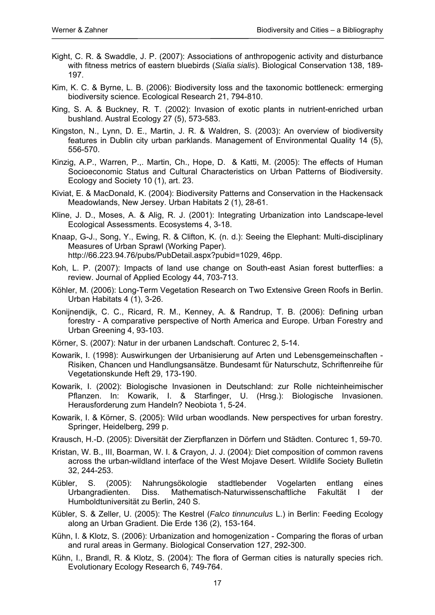- Kight, C. R. & Swaddle, J. P. (2007): Associations of anthropogenic activity and disturbance with fitness metrics of eastern bluebirds (*Sialia sialis*). Biological Conservation 138, 189- 197.
- Kim, K. C. & Byrne, L. B. (2006): Biodiversity loss and the taxonomic bottleneck: ermerging biodiversity science. Ecological Research 21, 794-810.
- King, S. A. & Buckney, R. T. (2002): Invasion of exotic plants in nutrient-enriched urban bushland. Austral Ecology 27 (5), 573-583.
- Kingston, N., Lynn, D. E., Martin, J. R. & Waldren, S. (2003): An overview of biodiversity features in Dublin city urban parklands. Management of Environmental Quality 14 (5), 556-570.
- Kinzig, A.P., Warren, P.,. Martin, Ch., Hope, D. & Katti, M. (2005): The effects of Human Socioeconomic Status and Cultural Characteristics on Urban Patterns of Biodiversity. Ecology and Society 10 (1), art. 23.
- Kiviat, E. & MacDonald, K. (2004): Biodiversity Patterns and Conservation in the Hackensack Meadowlands, New Jersey. Urban Habitats 2 (1), 28-61.
- Kline, J. D., Moses, A. & Alig, R. J. (2001): Integrating Urbanization into Landscape-level Ecological Assessments. Ecosystems 4, 3-18.
- Knaap, G-J., Song, Y., Ewing, R. & Clifton, K. (n. d.): Seeing the Elephant: Multi-disciplinary Measures of Urban Sprawl (Working Paper). http://66.223.94.76/pubs/PubDetail.aspx?pubid=1029, 46pp.
- Koh, L. P. (2007): Impacts of land use change on South-east Asian forest butterflies: a review. Journal of Applied Ecology 44, 703-713.
- Köhler, M. (2006): Long-Term Vegetation Research on Two Extensive Green Roofs in Berlin. Urban Habitats 4 (1), 3-26.
- Konijnendijk, C. C., Ricard, R. M., Kenney, A. & Randrup, T. B. (2006): Defining urban forestry - A comparative perspective of North America and Europe. Urban Forestry and Urban Greening 4, 93-103.
- Körner, S. (2007): Natur in der urbanen Landschaft. Conturec 2, 5-14.
- Kowarik, I. (1998): Auswirkungen der Urbanisierung auf Arten und Lebensgemeinschaften Risiken, Chancen und Handlungsansätze. Bundesamt für Naturschutz, Schriftenreihe für Vegetationskunde Heft 29, 173-190.
- Kowarik, I. (2002): Biologische Invasionen in Deutschland: zur Rolle nichteinheimischer Pflanzen. In: Kowarik, I. & Starfinger, U. (Hrsg.): Biologische Invasionen. Herausforderung zum Handeln? Neobiota 1, 5-24.
- Kowarik, I. & Körner, S. (2005): Wild urban woodlands. New perspectives for urban forestry. Springer, Heidelberg, 299 p.
- Krausch, H.-D. (2005): Diversität der Zierpflanzen in Dörfern und Städten. Conturec 1, 59-70.
- Kristan, W. B., III, Boarman, W. I. & Crayon, J. J. (2004): Diet composition of common ravens across the urban-wildland interface of the West Mojave Desert. Wildlife Society Bulletin 32, 244-253.
- Kübler, S. (2005): Nahrungsökologie stadtlebender Vogelarten entlang eines Urbangradienten. Diss. Mathematisch-Naturwissenschaftliche Fakultät I der Humboldtuniversität zu Berlin, 240 S.
- Kübler, S. & Zeller, U. (2005): The Kestrel (*Falco tinnunculus* L.) in Berlin: Feeding Ecology along an Urban Gradient. Die Erde 136 (2), 153-164.
- Kühn, I. & Klotz, S. (2006): Urbanization and homogenization Comparing the floras of urban and rural areas in Germany. Biological Conservation 127, 292-300.
- Kühn, I., Brandl, R. & Klotz, S. (2004): The flora of German cities is naturally species rich. Evolutionary Ecology Research 6, 749-764.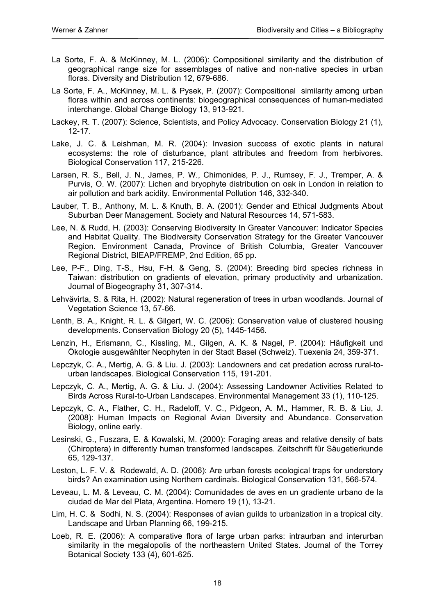- La Sorte, F. A. & McKinney, M. L. (2006): Compositional similarity and the distribution of geographical range size for assemblages of native and non-native species in urban floras. Diversity and Distribution 12, 679-686.
- La Sorte, F. A., McKinney, M. L. & Pysek, P. (2007): Compositional similarity among urban floras within and across continents: biogeographical consequences of human-mediated interchange. Global Change Biology 13, 913-921.
- Lackey, R. T. (2007): Science, Scientists, and Policy Advocacy. Conservation Biology 21 (1), 12-17.
- Lake, J. C. & Leishman, M. R. (2004): Invasion success of exotic plants in natural ecosystems: the role of disturbance, plant attributes and freedom from herbivores. Biological Conservation 117, 215-226.
- Larsen, R. S., Bell, J. N., James, P. W., Chimonides, P. J., Rumsey, F. J., Tremper, A. & Purvis, O. W. (2007): Lichen and bryophyte distribution on oak in London in relation to air pollution and bark acidity. Environmental Pollution 146, 332-340.
- Lauber, T. B., Anthony, M. L. & Knuth, B. A. (2001): Gender and Ethical Judgments About Suburban Deer Management. Society and Natural Resources 14, 571-583.
- Lee, N. & Rudd, H. (2003): Conserving Biodiversity In Greater Vancouver: Indicator Species and Habitat Quality. The Biodiversity Conservation Strategy for the Greater Vancouver Region. Environment Canada, Province of British Columbia, Greater Vancouver Regional District, BIEAP/FREMP, 2nd Edition, 65 pp.
- Lee, P-F., Ding, T-S., Hsu, F-H. & Geng, S. (2004): Breeding bird species richness in Taiwan: distribution on gradients of elevation, primary productivity and urbanization. Journal of Biogeography 31, 307-314.
- Lehvävirta, S. & Rita, H. (2002): Natural regeneration of trees in urban woodlands. Journal of Vegetation Science 13, 57-66.
- Lenth, B. A., Knight, R. L. & Gilgert, W. C. (2006): Conservation value of clustered housing developments. Conservation Biology 20 (5), 1445-1456.
- Lenzin, H., Erismann, C., Kissling, M., Gilgen, A. K. & Nagel, P. (2004): Häufigkeit und Ökologie ausgewählter Neophyten in der Stadt Basel (Schweiz). Tuexenia 24, 359-371.
- Lepczyk, C. A., Mertig, A. G. & Liu. J. (2003): Landowners and cat predation across rural-tourban landscapes. Biological Conservation 115, 191-201.
- Lepczyk, C. A., Mertig, A. G. & Liu. J. (2004): Assessing Landowner Activities Related to Birds Across Rural-to-Urban Landscapes. Environmental Management 33 (1), 110-125.
- Lepczyk, C. A., Flather, C. H., Radeloff, V. C., Pidgeon, A. M., Hammer, R. B. & Liu, J. (2008): Human Impacts on Regional Avian Diversity and Abundance. Conservation Biology, online early.
- Lesinski, G., Fuszara, E. & Kowalski, M. (2000): Foraging areas and relative density of bats (Chiroptera) in differently human transformed landscapes. Zeitschrift für Säugetierkunde 65, 129-137.
- Leston, L. F. V. & Rodewald, A. D. (2006): Are urban forests ecological traps for understory birds? An examination using Northern cardinals. Biological Conservation 131, 566-574.
- Leveau, L. M. & Leveau, C. M. (2004): Comunidades de aves en un gradiente urbano de la ciudad de Mar del Plata, Argentina. Hornero 19 (1), 13-21.
- Lim, H. C. & Sodhi, N. S. (2004): Responses of avian guilds to urbanization in a tropical city. Landscape and Urban Planning 66, 199-215.
- Loeb, R. E. (2006): A comparative flora of large urban parks: intraurban and interurban similarity in the megalopolis of the northeastern United States. Journal of the Torrey Botanical Society 133 (4), 601-625.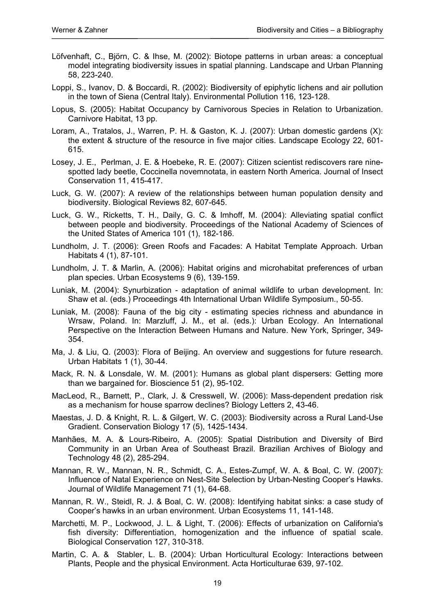- Löfvenhaft, C., Björn, C. & Ihse, M. (2002): Biotope patterns in urban areas: a conceptual model integrating biodiversity issues in spatial planning. Landscape and Urban Planning 58, 223-240.
- Loppi, S., Ivanov, D. & Boccardi, R. (2002): Biodiversity of epiphytic lichens and air pollution in the town of Siena (Central Italy). Environmental Pollution 116, 123-128.
- Lopus, S. (2005): Habitat Occupancy by Carnivorous Species in Relation to Urbanization. Carnivore Habitat, 13 pp.
- Loram, A., Tratalos, J., Warren, P. H. & Gaston, K. J. (2007): Urban domestic gardens (X): the extent & structure of the resource in five major cities. Landscape Ecology 22, 601- 615.
- Losey, J. E., Perlman, J. E. & Hoebeke, R. E. (2007): Citizen scientist rediscovers rare ninespotted lady beetle, Coccinella novemnotata, in eastern North America. Journal of Insect Conservation 11, 415-417.
- Luck, G. W. (2007): A review of the relationships between human population density and biodiversity. Biological Reviews 82, 607-645.
- Luck, G. W., Ricketts, T. H., Daily, G. C. & Imhoff, M. (2004): Alleviating spatial conflict between people and biodiversity. Proceedings of the National Academy of Sciences of the United States of America 101 (1), 182-186.
- Lundholm, J. T. (2006): Green Roofs and Facades: A Habitat Template Approach. Urban Habitats 4 (1), 87-101.
- Lundholm, J. T. & Marlin, A. (2006): Habitat origins and microhabitat preferences of urban plan species. Urban Ecosystems 9 (6), 139-159.
- Luniak, M. (2004): Synurbization adaptation of animal wildlife to urban development. In: Shaw et al. (eds.) Proceedings 4th International Urban Wildlife Symposium., 50-55.
- Luniak, M. (2008): Fauna of the big city estimating species richness and abundance in Wrsaw, Poland. In: Marzluff, J. M., et al. (eds.): Urban Ecology. An International Perspective on the Interaction Between Humans and Nature. New York, Springer, 349- 354.
- Ma, J. & Liu, Q. (2003): Flora of Beijing. An overview and suggestions for future research. Urban Habitats 1 (1), 30-44.
- Mack, R. N. & Lonsdale, W. M. (2001): Humans as global plant dispersers: Getting more than we bargained for. Bioscience 51 (2), 95-102.
- MacLeod, R., Barnett, P., Clark, J. & Cresswell, W. (2006): Mass-dependent predation risk as a mechanism for house sparrow declines? Biology Letters 2, 43-46.
- Maestas, J. D. & Knight, R. L. & Gilgert, W. C. (2003): Biodiversity across a Rural Land-Use Gradient. Conservation Biology 17 (5), 1425-1434.
- Manhães, M. A. & Lours-Ribeiro, A. (2005): Spatial Distribution and Diversity of Bird Community in an Urban Area of Southeast Brazil. Brazilian Archives of Biology and Technology 48 (2), 285-294.
- Mannan, R. W., Mannan, N. R., Schmidt, C. A., Estes-Zumpf, W. A. & Boal, C. W. (2007): Influence of Natal Experience on Nest-Site Selection by Urban-Nesting Cooper's Hawks. Journal of Wildlife Management 71 (1), 64-68.
- Mannan, R. W., Steidl, R. J. & Boal, C. W. (2008): Identifying habitat sinks: a case study of Cooper's hawks in an urban environment. Urban Ecosystems 11, 141-148.
- Marchetti, M. P., Lockwood, J. L. & Light, T. (2006): Effects of urbanization on California's fish diversity: Differentiation, homogenization and the influence of spatial scale. Biological Conservation 127, 310-318.
- Martin, C. A. & Stabler, L. B. (2004): Urban Horticultural Ecology: Interactions between Plants, People and the physical Environment. Acta Horticulturae 639, 97-102.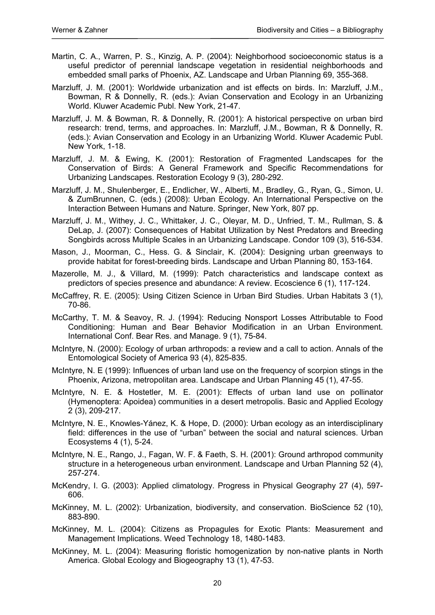- Martin, C. A., Warren, P. S., Kinzig, A. P. (2004): Neighborhood socioeconomic status is a useful predictor of perennial landscape vegetation in residential neighborhoods and embedded small parks of Phoenix, AZ. Landscape and Urban Planning 69, 355-368.
- Marzluff, J. M. (2001): Worldwide urbanization and ist effects on birds. In: Marzluff, J.M., Bowman, R & Donnelly, R. (eds.): Avian Conservation and Ecology in an Urbanizing World. Kluwer Academic Publ. New York, 21-47.
- Marzluff, J. M. & Bowman, R. & Donnelly, R. (2001): A historical perspective on urban bird research: trend, terms, and approaches. In: Marzluff, J.M., Bowman, R & Donnelly, R. (eds.): Avian Conservation and Ecology in an Urbanizing World. Kluwer Academic Publ. New York, 1-18.
- Marzluff, J. M. & Ewing, K. (2001): Restoration of Fragmented Landscapes for the Conservation of Birds: A General Framework and Specific Recommendations for Urbanizing Landscapes. Restoration Ecology 9 (3), 280-292.
- Marzluff, J. M., Shulenberger, E., Endlicher, W., Alberti, M., Bradley, G., Ryan, G., Simon, U. & ZumBrunnen, C. (eds.) (2008): Urban Ecology. An International Perspective on the Interaction Between Humans and Nature. Springer, New York, 807 pp.
- Marzluff, J. M., Withey, J. C., Whittaker, J. C., Oleyar, M. D., Unfried, T. M., Rullman, S. & DeLap, J. (2007): Consequences of Habitat Utilization by Nest Predators and Breeding Songbirds across Multiple Scales in an Urbanizing Landscape. Condor 109 (3), 516-534.
- Mason, J., Moorman, C., Hess. G. & Sinclair, K. (2004): Designing urban greenways to provide habitat for forest-breeding birds. Landscape and Urban Planning 80, 153-164.
- Mazerolle, M. J., & Villard, M. (1999): Patch characteristics and landscape context as predictors of species presence and abundance: A review. Ecoscience 6 (1), 117-124.
- McCaffrey, R. E. (2005): Using Citizen Science in Urban Bird Studies. Urban Habitats 3 (1), 70-86.
- McCarthy, T. M. & Seavoy, R. J. (1994): Reducing Nonsport Losses Attributable to Food Conditioning: Human and Bear Behavior Modification in an Urban Environment. International Conf. Bear Res. and Manage. 9 (1), 75-84.
- McIntyre, N. (2000): Ecology of urban arthropods: a review and a call to action. Annals of the Entomological Society of America 93 (4), 825-835.
- McIntyre, N. E (1999): Influences of urban land use on the frequency of scorpion stings in the Phoenix, Arizona, metropolitan area. Landscape and Urban Planning 45 (1), 47-55.
- McIntyre, N. E. & Hostetler, M. E. (2001): Effects of urban land use on pollinator (Hymenoptera: Apoidea) communities in a desert metropolis. Basic and Applied Ecology 2 (3), 209-217.
- McIntyre, N. E., Knowles-Yánez, K. & Hope, D. (2000): Urban ecology as an interdisciplinary field: differences in the use of "urban" between the social and natural sciences. Urban Ecosystems 4 (1), 5-24.
- McIntyre, N. E., Rango, J., Fagan, W. F. & Faeth, S. H. (2001): Ground arthropod community structure in a heterogeneous urban environment. Landscape and Urban Planning 52 (4), 257-274.
- McKendry, I. G. (2003): Applied climatology. Progress in Physical Geography 27 (4), 597- 606.
- McKinney, M. L. (2002): Urbanization, biodiversity, and conservation. BioScience 52 (10), 883-890.
- McKinney, M. L. (2004): Citizens as Propagules for Exotic Plants: Measurement and Management Implications. Weed Technology 18, 1480-1483.
- McKinney, M. L. (2004): Measuring floristic homogenization by non-native plants in North America. Global Ecology and Biogeography 13 (1), 47-53.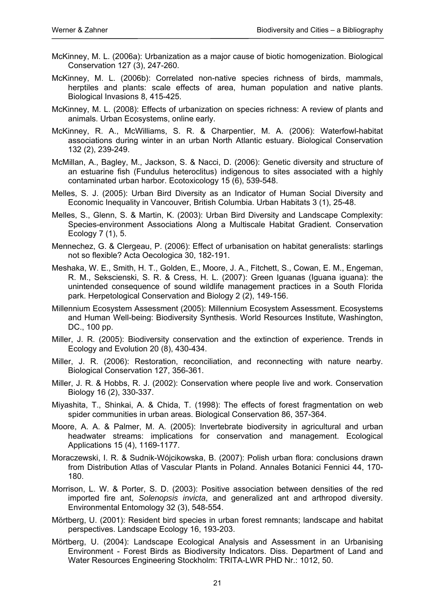- McKinney, M. L. (2006a): Urbanization as a major cause of biotic homogenization. Biological Conservation 127 (3), 247-260.
- McKinney, M. L. (2006b): Correlated non-native species richness of birds, mammals, herptiles and plants: scale effects of area, human population and native plants. Biological Invasions 8, 415-425.
- McKinney, M. L. (2008): Effects of urbanization on species richness: A review of plants and animals. Urban Ecosystems, online early.
- McKinney, R. A., McWilliams, S. R. & Charpentier, M. A. (2006): Waterfowl-habitat associations during winter in an urban North Atlantic estuary. Biological Conservation 132 (2), 239-249.
- McMillan, A., Bagley, M., Jackson, S. & Nacci, D. (2006): Genetic diversity and structure of an estuarine fish (Fundulus heteroclitus) indigenous to sites associated with a highly contaminated urban harbor. Ecotoxicology 15 (6), 539-548.
- Melles, S. J. (2005): Urban Bird Diversity as an Indicator of Human Social Diversity and Economic Inequality in Vancouver, British Columbia. Urban Habitats 3 (1), 25-48.
- Melles, S., Glenn, S. & Martin, K. (2003): Urban Bird Diversity and Landscape Complexity: Species-environment Associations Along a Multiscale Habitat Gradient. Conservation Ecology 7 (1), 5.
- Mennechez, G. & Clergeau, P. (2006): Effect of urbanisation on habitat generalists: starlings not so flexible? Acta Oecologica 30, 182-191.
- Meshaka, W. E., Smith, H. T., Golden, E., Moore, J. A., Fitchett, S., Cowan, E. M., Engeman, R. M., Sekscienski, S. R. & Cress, H. L. (2007): Green Iguanas (Iguana iguana): the unintended consequence of sound wildlife management practices in a South Florida park. Herpetological Conservation and Biology 2 (2), 149-156.
- Millennium Ecosystem Assessment (2005): Millennium Ecosystem Assessment. Ecosystems and Human Well-being: Biodiversity Synthesis. World Resources Institute, Washington, DC., 100 pp.
- Miller, J. R. (2005): Biodiversity conservation and the extinction of experience. Trends in Ecology and Evolution 20 (8), 430-434.
- Miller, J. R. (2006): Restoration, reconciliation, and reconnecting with nature nearby. Biological Conservation 127, 356-361.
- Miller, J. R. & Hobbs, R. J. (2002): Conservation where people live and work. Conservation Biology 16 (2), 330-337.
- Miyashita, T., Shinkai, A. & Chida, T. (1998): The effects of forest fragmentation on web spider communities in urban areas. Biological Conservation 86, 357-364.
- Moore, A. A. & Palmer, M. A. (2005): Invertebrate biodiversity in agricultural and urban headwater streams: implications for conservation and management. Ecological Applications 15 (4), 1169-1177.
- Moraczewski, I. R. & Sudnik-Wójcikowska, B. (2007): Polish urban flora: conclusions drawn from Distribution Atlas of Vascular Plants in Poland. Annales Botanici Fennici 44, 170- 180.
- Morrison, L. W. & Porter, S. D. (2003): Positive association between densities of the red imported fire ant, *Solenopsis invicta*, and generalized ant and arthropod diversity. Environmental Entomology 32 (3), 548-554.
- Mörtberg, U. (2001): Resident bird species in urban forest remnants; landscape and habitat perspectives. Landscape Ecology 16, 193-203.
- Mörtberg, U. (2004): Landscape Ecological Analysis and Assessment in an Urbanising Environment - Forest Birds as Biodiversity Indicators. Diss. Department of Land and Water Resources Engineering Stockholm: TRITA-LWR PHD Nr.: 1012, 50.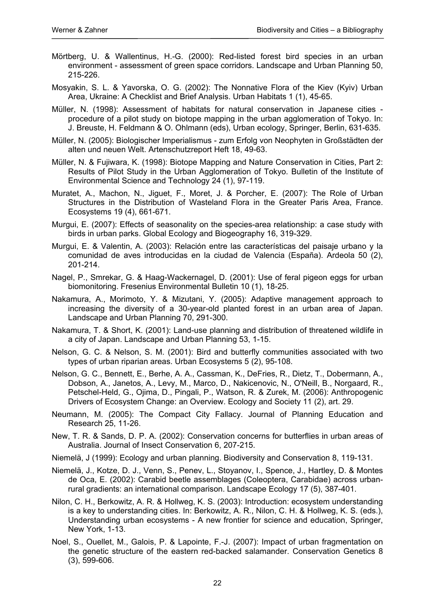- Mörtberg, U. & Wallentinus, H.-G. (2000): Red-listed forest bird species in an urban environment - assessment of green space corridors. Landscape and Urban Planning 50, 215-226.
- Mosyakin, S. L. & Yavorska, O. G. (2002): The Nonnative Flora of the Kiev (Kyiv) Urban Area, Ukraine: A Checklist and Brief Analysis. Urban Habitats 1 (1), 45-65.
- Müller, N. (1998): Assessment of habitats for natural conservation in Japanese cities procedure of a pilot study on biotope mapping in the urban agglomeration of Tokyo. In: J. Breuste, H. Feldmann & O. Ohlmann (eds), Urban ecology, Springer, Berlin, 631-635.
- Müller, N. (2005): Biologischer Imperialismus zum Erfolg von Neophyten in Großstädten der alten und neuen Welt. Artenschutzreport Heft 18, 49-63.
- Müller, N. & Fujiwara, K. (1998): Biotope Mapping and Nature Conservation in Cities, Part 2: Results of Pilot Study in the Urban Agglomeration of Tokyo. Bulletin of the Institute of Environmental Science and Technology 24 (1), 97-119.
- Muratet, A., Machon, N., Jiguet, F., Moret, J. & Porcher, E. (2007): The Role of Urban Structures in the Distribution of Wasteland Flora in the Greater Paris Area, France. Ecosystems 19 (4), 661-671.
- Murgui, E. (2007): Effects of seasonality on the species-area relationship: a case study with birds in urban parks. Global Ecology and Biogeography 16, 319-329.
- Murgui, E. & Valentin, A. (2003): Relación entre las características del paisaje urbano y la comunidad de aves introducidas en la ciudad de Valencia (España). Ardeola 50 (2), 201-214.
- Nagel, P., Smrekar, G. & Haag-Wackernagel, D. (2001): Use of feral pigeon eggs for urban biomonitoring. Fresenius Environmental Bulletin 10 (1), 18-25.
- Nakamura, A., Morimoto, Y. & Mizutani, Y. (2005): Adaptive management approach to increasing the diversity of a 30-year-old planted forest in an urban area of Japan. Landscape and Urban Planning 70, 291-300.
- Nakamura, T. & Short, K. (2001): Land-use planning and distribution of threatened wildlife in a city of Japan. Landscape and Urban Planning 53, 1-15.
- Nelson, G. C. & Nelson, S. M. (2001): Bird and butterfly communities associated with two types of urban riparian areas. Urban Ecosystems 5 (2), 95-108.
- Nelson, G. C., Bennett, E., Berhe, A. A., Cassman, K., DeFries, R., Dietz, T., Dobermann, A., Dobson, A., Janetos, A., Levy, M., Marco, D., Nakicenovic, N., O'Neill, B., Norgaard, R., Petschel-Held, G., Ojima, D., Pingali, P., Watson, R. & Zurek, M. (2006): Anthropogenic Drivers of Ecosystem Change: an Overview. Ecology and Society 11 (2), art. 29.
- Neumann, M. (2005): The Compact City Fallacy. Journal of Planning Education and Research 25, 11-26.
- New, T. R. & Sands, D. P. A. (2002): Conservation concerns for butterflies in urban areas of Australia. Journal of Insect Conservation 6, 207-215.
- Niemelä, J (1999): Ecology and urban planning. Biodiversity and Conservation 8, 119-131.
- Niemelä, J., Kotze, D. J., Venn, S., Penev, L., Stoyanov, I., Spence, J., Hartley, D. & Montes de Oca, E. (2002): Carabid beetle assemblages (Coleoptera, Carabidae) across urbanrural gradients: an international comparison. Landscape Ecology 17 (5), 387-401.
- Nilon, C. H., Berkowitz, A. R. & Hollweg, K. S. (2003): Introduction: ecosystem understanding is a key to understanding cities. In: Berkowitz, A. R., Nilon, C. H. & Hollweg, K. S. (eds.), Understanding urban ecosystems - A new frontier for science and education, Springer, New York, 1-13.
- Noel, S., Ouellet, M., Galois, P. & Lapointe, F.-J. (2007): Impact of urban fragmentation on the genetic structure of the eastern red-backed salamander. Conservation Genetics 8 (3), 599-606.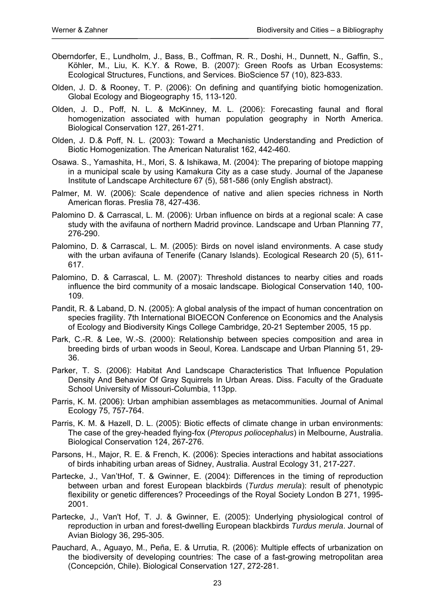- Oberndorfer, E., Lundholm, J., Bass, B., Coffman, R. R., Doshi, H., Dunnett, N., Gaffin, S., Köhler, M., Liu, K. K.Y. & Rowe, B. (2007): Green Roofs as Urban Ecosystems: Ecological Structures, Functions, and Services. BioScience 57 (10), 823-833.
- Olden, J. D. & Rooney, T. P. (2006): On defining and quantifying biotic homogenization. Global Ecology and Biogeography 15, 113-120.
- Olden, J. D., Poff, N. L. & McKinney, M. L. (2006): Forecasting faunal and floral homogenization associated with human population geography in North America. Biological Conservation 127, 261-271.
- Olden, J. D.& Poff, N. L. (2003): Toward a Mechanistic Understanding and Prediction of Biotic Homogenization. The American Naturalist 162, 442-460.
- Osawa. S., Yamashita, H., Mori, S. & Ishikawa, M. (2004): The preparing of biotope mapping in a municipal scale by using Kamakura City as a case study. Journal of the Japanese Institute of Landscape Architecture 67 (5), 581-586 (only English abstract).
- Palmer, M. W. (2006): Scale dependence of native and alien species richness in North American floras. Preslia 78, 427-436.
- Palomino D. & Carrascal, L. M. (2006): Urban influence on birds at a regional scale: A case study with the avifauna of northern Madrid province. Landscape and Urban Planning 77, 276-290.
- Palomino, D. & Carrascal, L. M. (2005): Birds on novel island environments. A case study with the urban avifauna of Tenerife (Canary Islands). Ecological Research 20 (5), 611- 617.
- Palomino, D. & Carrascal, L. M. (2007): Threshold distances to nearby cities and roads influence the bird community of a mosaic landscape. Biological Conservation 140, 100- 109.
- Pandit, R. & Laband, D. N. (2005): A global analysis of the impact of human concentration on species fragility. 7th International BIOECON Conference on Economics and the Analysis of Ecology and Biodiversity Kings College Cambridge, 20-21 September 2005, 15 pp.
- Park, C.-R. & Lee, W.-S. (2000): Relationship between species composition and area in breeding birds of urban woods in Seoul, Korea. Landscape and Urban Planning 51, 29- 36.
- Parker, T. S. (2006): Habitat And Landscape Characteristics That Influence Population Density And Behavior Of Gray Squirrels In Urban Areas. Diss. Faculty of the Graduate School University of Missouri-Columbia, 113pp.
- Parris, K. M. (2006): Urban amphibian assemblages as metacommunities. Journal of Animal Ecology 75, 757-764.
- Parris, K. M. & Hazell, D. L. (2005): Biotic effects of climate change in urban environments: The case of the grey-headed flying-fox (*Pteropus poliocephalus*) in Melbourne, Australia. Biological Conservation 124, 267-276.
- Parsons, H., Major, R. E. & French, K. (2006): Species interactions and habitat associations of birds inhabiting urban areas of Sidney, Australia. Austral Ecology 31, 217-227.
- Partecke, J., Van'tHof, T. & Gwinner, E. (2004): Differences in the timing of reproduction between urban and forest European blackbirds (*Turdus merula*): result of phenotypic flexibility or genetic differences? Proceedings of the Royal Society London B 271, 1995- 2001.
- Partecke, J., Van't Hof, T. J. & Gwinner, E. (2005): Underlying physiological control of reproduction in urban and forest-dwelling European blackbirds *Turdus merula*. Journal of Avian Biology 36, 295-305.
- Pauchard, A., Aguayo, M., Peña, E. & Urrutia, R. (2006): Multiple effects of urbanization on the biodiversity of developing countries: The case of a fast-growing metropolitan area (Concepción, Chile). Biological Conservation 127, 272-281.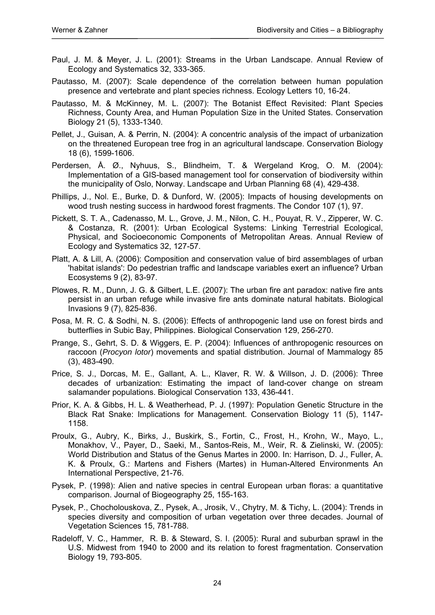- Paul, J. M. & Meyer, J. L. (2001): Streams in the Urban Landscape. Annual Review of Ecology and Systematics 32, 333-365.
- Pautasso, M. (2007): Scale dependence of the correlation between human population presence and vertebrate and plant species richness. Ecology Letters 10, 16-24.
- Pautasso, M. & McKinney, M. L. (2007): The Botanist Effect Revisited: Plant Species Richness, County Area, and Human Population Size in the United States. Conservation Biology 21 (5), 1333-1340.
- Pellet, J., Guisan, A. & Perrin, N. (2004): A concentric analysis of the impact of urbanization on the threatened European tree frog in an agricultural landscape. Conservation Biology 18 (6), 1599-1606.
- Perdersen, Å. Ø., Nyhuus, S., Blindheim, T. & Wergeland Krog, O. M. (2004): Implementation of a GIS-based management tool for conservation of biodiversity within the municipality of Oslo, Norway. Landscape and Urban Planning 68 (4), 429-438.
- Phillips, J., Nol. E., Burke, D. & Dunford, W. (2005): Impacts of housing developments on wood trush nesting success in hardwood forest fragments. The Condor 107 (1), 97.
- Pickett, S. T. A., Cadenasso, M. L., Grove, J. M., Nilon, C. H., Pouyat, R. V., Zipperer, W. C. & Costanza, R. (2001): Urban Ecological Systems: Linking Terrestrial Ecological, Physical, and Socioeconomic Components of Metropolitan Areas. Annual Review of Ecology and Systematics 32, 127-57.
- Platt, A. & Lill, A. (2006): Composition and conservation value of bird assemblages of urban 'habitat islands': Do pedestrian traffic and landscape variables exert an influence? Urban Ecosystems 9 (2), 83-97.
- Plowes, R. M., Dunn, J. G. & Gilbert, L.E. (2007): The urban fire ant paradox: native fire ants persist in an urban refuge while invasive fire ants dominate natural habitats. Biological Invasions 9 (7), 825-836.
- Posa, M. R. C. & Sodhi, N. S. (2006): Effects of anthropogenic land use on forest birds and butterflies in Subic Bay, Philippines. Biological Conservation 129, 256-270.
- Prange, S., Gehrt, S. D. & Wiggers, E. P. (2004): Influences of anthropogenic resources on raccoon (*Procyon lotor*) movements and spatial distribution. Journal of Mammalogy 85 (3), 483-490.
- Price, S. J., Dorcas, M. E., Gallant, A. L., Klaver, R. W. & Willson, J. D. (2006): Three decades of urbanization: Estimating the impact of land-cover change on stream salamander populations. Biological Conservation 133, 436-441.
- Prior, K. A. & Gibbs, H. L. & Weatherhead, P. J. (1997): Population Genetic Structure in the Black Rat Snake: Implications for Management. Conservation Biology 11 (5), 1147- 1158.
- Proulx, G., Aubry, K., Birks, J., Buskirk, S., Fortin, C., Frost, H., Krohn, W., Mayo, L., Monakhov, V., Payer, D., Saeki, M., Santos-Reis, M., Weir, R. & Zielinski, W. (2005): World Distribution and Status of the Genus Martes in 2000. In: Harrison, D. J., Fuller, A. K. & Proulx, G.: Martens and Fishers (Martes) in Human-Altered Environments An International Perspective, 21-76.
- Pysek, P. (1998): Alien and native species in central European urban floras: a quantitative comparison. Journal of Biogeography 25, 155-163.
- Pysek, P., Chocholouskova, Z., Pysek, A., Jrosik, V., Chytry, M. & Tichy, L. (2004): Trends in species diversity and composition of urban vegetation over three decades. Journal of Vegetation Sciences 15, 781-788.
- Radeloff, V. C., Hammer, R. B. & Steward, S. I. (2005): Rural and suburban sprawl in the U.S. Midwest from 1940 to 2000 and its relation to forest fragmentation. Conservation Biology 19, 793-805.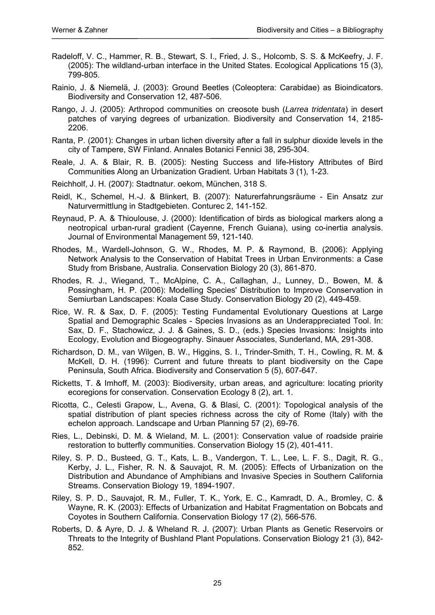- Radeloff, V. C., Hammer, R. B., Stewart, S. I., Fried, J. S., Holcomb, S. S. & McKeefry, J. F. (2005): The wildland-urban interface in the United States. Ecological Applications 15 (3), 799-805.
- Rainio, J. & Niemelä, J. (2003): Ground Beetles (Coleoptera: Carabidae) as Bioindicators. Biodiversity and Conservation 12, 487-506.
- Rango, J. J. (2005): Arthropod communities on creosote bush (*Larrea tridentata*) in desert patches of varying degrees of urbanization. Biodiversity and Conservation 14, 2185- 2206.
- Ranta, P. (2001): Changes in urban lichen diversity after a fall in sulphur dioxide levels in the city of Tampere, SW Finland. Annales Botanici Fennici 38, 295-304.
- Reale, J. A. & Blair, R. B. (2005): Nesting Success and life-History Attributes of Bird Communities Along an Urbanization Gradient. Urban Habitats 3 (1), 1-23.
- Reichholf, J. H. (2007): Stadtnatur. oekom, München, 318 S.
- Reidl, K., Schemel, H.-J. & Blinkert, B. (2007): Naturerfahrungsräume Ein Ansatz zur Naturvermittlung in Stadtgebieten. Conturec 2, 141-152.
- Reynaud, P. A. & Thioulouse, J. (2000): Identification of birds as biological markers along a neotropical urban-rural gradient (Cayenne, French Guiana), using co-inertia analysis. Journal of Environmental Management 59, 121-140.
- Rhodes, M., Wardell-Johnson, G. W., Rhodes, M. P. & Raymond, B. (2006): Applying Network Analysis to the Conservation of Habitat Trees in Urban Environments: a Case Study from Brisbane, Australia. Conservation Biology 20 (3), 861-870.
- Rhodes, R. J., Wiegand, T., McAlpine, C. A., Callaghan, J., Lunney, D., Bowen, M. & Possingham, H. P. (2006): Modelling Species' Distribution to Improve Conservation in Semiurban Landscapes: Koala Case Study. Conservation Biology 20 (2), 449-459.
- Rice, W. R. & Sax, D. F. (2005): Testing Fundamental Evolutionary Questions at Large Spatial and Demographic Scales - Species Invasions as an Underappreciated Tool. In: Sax, D. F., Stachowicz, J. J. & Gaines, S. D., (eds.) Species Invasions: Insights into Ecology, Evolution and Biogeography. Sinauer Associates, Sunderland, MA, 291-308.
- Richardson, D. M., van Wilgen, B. W., Higgins, S. I., Trinder-Smith, T. H., Cowling, R. M. & McKell, D. H. (1996): Current and future threats to plant biodiversity on the Cape Peninsula, South Africa. Biodiversity and Conservation 5 (5), 607-647.
- Ricketts, T. & Imhoff, M. (2003): Biodiversity, urban areas, and agriculture: locating priority ecoregions for conservation. Conservation Ecology 8 (2), art. 1.
- Ricotta, C., Celesti Grapow, L., Avena, G. & Blasi, C. (2001): Topological analysis of the spatial distribution of plant species richness across the city of Rome (Italy) with the echelon approach. Landscape and Urban Planning 57 (2), 69-76.
- Ries, L., Debinski, D. M. & Wieland, M. L. (2001): Conservation value of roadside prairie restoration to butterfly communities. Conservation Biology 15 (2), 401-411.
- Riley, S. P. D., Busteed, G. T., Kats, L. B., Vandergon, T. L., Lee, L. F. S., Dagit, R. G., Kerby, J. L., Fisher, R. N. & Sauvajot, R. M. (2005): Effects of Urbanization on the Distribution and Abundance of Amphibians and Invasive Species in Southern California Streams. Conservation Biology 19, 1894-1907.
- Riley, S. P. D., Sauvajot, R. M., Fuller, T. K., York, E. C., Kamradt, D. A., Bromley, C. & Wayne, R. K. (2003): Effects of Urbanization and Habitat Fragmentation on Bobcats and Coyotes in Southern California. Conservation Biology 17 (2), 566-576.
- Roberts, D. & Ayre, D. J. & Wheland R. J. (2007): Urban Plants as Genetic Reservoirs or Threats to the Integrity of Bushland Plant Populations. Conservation Biology 21 (3), 842- 852.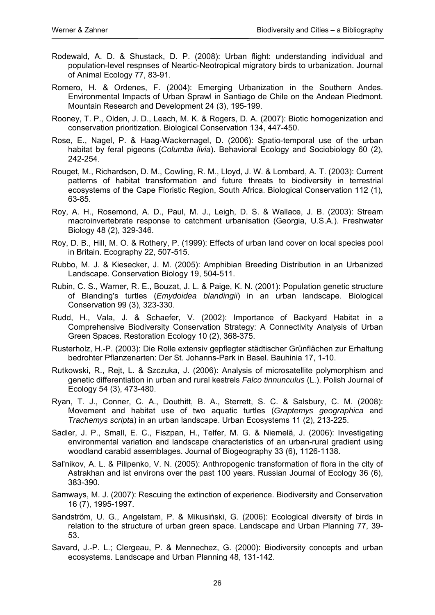- Rodewald, A. D. & Shustack, D. P. (2008): Urban flight: understanding individual and population-level respnses of Neartic-Neotropical migratory birds to urbanization. Journal of Animal Ecology 77, 83-91.
- Romero, H. & Ordenes, F. (2004): Emerging Urbanization in the Southern Andes. Environmental Impacts of Urban Sprawl in Santiago de Chile on the Andean Piedmont. Mountain Research and Development 24 (3), 195-199.
- Rooney, T. P., Olden, J. D., Leach, M. K. & Rogers, D. A. (2007): Biotic homogenization and conservation prioritization. Biological Conservation 134, 447-450.
- Rose, E., Nagel, P. & Haag-Wackernagel, D. (2006): Spatio-temporal use of the urban habitat by feral pigeons (*Columba livia*). Behavioral Ecology and Sociobiology 60 (2), 242-254.
- Rouget, M., Richardson, D. M., Cowling, R. M., Lloyd, J. W. & Lombard, A. T. (2003): Current patterns of habitat transformation and future threats to biodiversity in terrestrial ecosystems of the Cape Floristic Region, South Africa. Biological Conservation 112 (1), 63-85.
- Roy, A. H., Rosemond, A. D., Paul, M. J., Leigh, D. S. & Wallace, J. B. (2003): Stream macroinvertebrate response to catchment urbanisation (Georgia, U.S.A.). Freshwater Biology 48 (2), 329-346.
- Roy, D. B., Hill, M. O. & Rothery, P. (1999): Effects of urban land cover on local species pool in Britain. Ecography 22, 507-515.
- Rubbo, M. J. & Kiesecker, J. M. (2005): Amphibian Breeding Distribution in an Urbanized Landscape. Conservation Biology 19, 504-511.
- Rubin, C. S., Warner, R. E., Bouzat, J. L. & Paige, K. N. (2001): Population genetic structure of Blanding's turtles (*Emydoidea blandingii*) in an urban landscape. Biological Conservation 99 (3), 323-330.
- Rudd, H., Vala, J. & Schaefer, V. (2002): Importance of Backyard Habitat in a Comprehensive Biodiversity Conservation Strategy: A Connectivity Analysis of Urban Green Spaces. Restoration Ecology 10 (2), 368-375.
- Rusterholz, H.-P. (2003): Die Rolle extensiv gepflegter städtischer Grünflächen zur Erhaltung bedrohter Pflanzenarten: Der St. Johanns-Park in Basel. Bauhinia 17, 1-10.
- Rutkowski, R., Rejt, L. & Szczuka, J. (2006): Analysis of microsatellite polymorphism and genetic differentiation in urban and rural kestrels *Falco tinnunculus* (L.). Polish Journal of Ecology 54 (3), 473-480.
- Ryan, T. J., Conner, C. A., Douthitt, B. A., Sterrett, S. C. & Salsbury, C. M. (2008): Movement and habitat use of two aquatic turtles (*Graptemys geographica* and *Trachemys scripta*) in an urban landscape. Urban Ecosystems 11 (2), 213-225.
- Sadler, J. P., Small, E. C., Fiszpan, H., Telfer, M. G. & Niemelä, J. (2006): Investigating environmental variation and landscape characteristics of an urban-rural gradient using woodland carabid assemblages. Journal of Biogeography 33 (6), 1126-1138.
- Sal'nikov, A. L. & Pilipenko, V. N. (2005): Anthropogenic transformation of flora in the city of Astrakhan and ist environs over the past 100 years. Russian Journal of Ecology 36 (6), 383-390.
- Samways, M. J. (2007): Rescuing the extinction of experience. Biodiversity and Conservation 16 (7), 1995-1997.
- Sandström, U. G., Angelstam, P. & Mikusiński, G. (2006): Ecological diversity of birds in relation to the structure of urban green space. Landscape and Urban Planning 77, 39- 53.
- Savard, J.-P. L.; Clergeau, P. & Mennechez, G. (2000): Biodiversity concepts and urban ecosystems. Landscape and Urban Planning 48, 131-142.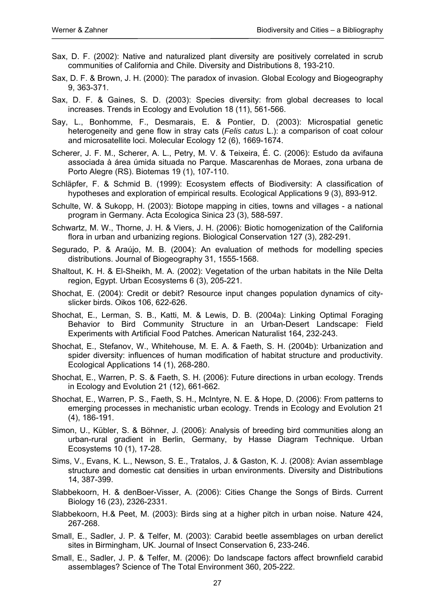- Sax, D. F. (2002): Native and naturalized plant diversity are positively correlated in scrub communities of California and Chile. Diversity and Distributions 8, 193-210.
- Sax, D. F. & Brown, J. H. (2000): The paradox of invasion. Global Ecology and Biogeography 9, 363-371.
- Sax, D. F. & Gaines, S. D. (2003): Species diversity: from global decreases to local increases. Trends in Ecology and Evolution 18 (11), 561-566.
- Say, L., Bonhomme, F., Desmarais, E. & Pontier, D. (2003): Microspatial genetic heterogeneity and gene flow in stray cats (*Felis catus* L.): a comparison of coat colour and microsatellite loci. Molecular Ecology 12 (6), 1669-1674.
- Scherer, J. F. M., Scherer, A. L., Petry, M. V. & Teixeira, É. C. (2006): Estudo da avifauna associada à área úmida situada no Parque. Mascarenhas de Moraes, zona urbana de Porto Alegre (RS). Biotemas 19 (1), 107-110.
- Schläpfer, F. & Schmid B. (1999): Ecosystem effects of Biodiversity: A classification of hypotheses and exploration of empirical results. Ecological Applications 9 (3), 893-912.
- Schulte, W. & Sukopp, H. (2003): Biotope mapping in cities, towns and villages a national program in Germany. Acta Ecologica Sinica 23 (3), 588-597.
- Schwartz, M. W., Thorne, J. H. & Viers, J. H. (2006): Biotic homogenization of the California flora in urban and urbanizing regions. Biological Conservation 127 (3), 282-291.
- Segurado, P. & Araújo, M. B. (2004): An evaluation of methods for modelling species distributions. Journal of Biogeography 31, 1555-1568.
- Shaltout, K. H. & El-Sheikh, M. A. (2002): Vegetation of the urban habitats in the Nile Delta region, Egypt. Urban Ecosystems 6 (3), 205-221.
- Shochat, E. (2004): Credit or debit? Resource input changes population dynamics of cityslicker birds. Oikos 106, 622-626.
- Shochat, E., Lerman, S. B., Katti, M. & Lewis, D. B. (2004a): Linking Optimal Foraging Behavior to Bird Community Structure in an Urban-Desert Landscape: Field Experiments with Artificial Food Patches. American Naturalist 164, 232-243.
- Shochat, E., Stefanov, W., Whitehouse, M. E. A. & Faeth, S. H. (2004b): Urbanization and spider diversity: influences of human modification of habitat structure and productivity. Ecological Applications 14 (1), 268-280.
- Shochat, E., Warren, P. S. & Faeth, S. H. (2006): Future directions in urban ecology. Trends in Ecology and Evolution 21 (12), 661-662.
- Shochat, E., Warren, P. S., Faeth, S. H., McIntyre, N. E. & Hope, D. (2006): From patterns to emerging processes in mechanistic urban ecology. Trends in Ecology and Evolution 21 (4), 186-191.
- Simon, U., Kübler, S. & Böhner, J. (2006): Analysis of breeding bird communities along an urban-rural gradient in Berlin, Germany, by Hasse Diagram Technique. Urban Ecosystems 10 (1), 17-28.
- Sims, V., Evans, K. L., Newson, S. E., Tratalos, J. & Gaston, K. J. (2008): Avian assemblage structure and domestic cat densities in urban environments. Diversity and Distributions 14, 387-399.
- Slabbekoorn, H. & denBoer-Visser, A. (2006): Cities Change the Songs of Birds. Current Biology 16 (23), 2326-2331.
- Slabbekoorn, H.& Peet, M. (2003): Birds sing at a higher pitch in urban noise. Nature 424, 267-268.
- Small, E., Sadler, J. P. & Telfer, M. (2003): Carabid beetle assemblages on urban derelict sites in Birmingham, UK. Journal of Insect Conservation 6, 233-246.
- Small, E., Sadler, J. P. & Telfer, M. (2006): Do landscape factors affect brownfield carabid assemblages? Science of The Total Environment 360, 205-222.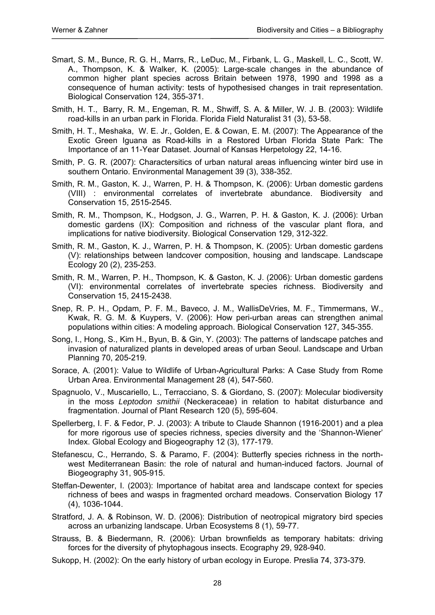- Smart, S. M., Bunce, R. G. H., Marrs, R., LeDuc, M., Firbank, L. G., Maskell, L. C., Scott, W. A., Thompson, K. & Walker, K. (2005): Large-scale changes in the abundance of common higher plant species across Britain between 1978, 1990 and 1998 as a consequence of human activity: tests of hypothesised changes in trait representation. Biological Conservation 124, 355-371.
- Smith, H. T., Barry, R. M., Engeman, R. M., Shwiff, S. A. & Miller, W. J. B. (2003): Wildlife road-kills in an urban park in Florida. Florida Field Naturalist 31 (3), 53-58.
- Smith, H. T., Meshaka, W. E. Jr., Golden, E. & Cowan, E. M. (2007): The Appearance of the Exotic Green Iguana as Road-kills in a Restored Urban Florida State Park: The Importance of an 11-Year Dataset. Journal of Kansas Herpetology 22, 14-16.
- Smith, P. G. R. (2007): Charactersitics of urban natural areas influencing winter bird use in southern Ontario. Environmental Management 39 (3), 338-352.
- Smith, R. M., Gaston, K. J., Warren, P. H. & Thompson, K. (2006): Urban domestic gardens (VIII) : environmental correlates of invertebrate abundance. Biodiversity and Conservation 15, 2515-2545.
- Smith, R. M., Thompson, K., Hodgson, J. G., Warren, P. H. & Gaston, K. J. (2006): Urban domestic gardens (IX): Composition and richness of the vascular plant flora, and implications for native biodiversity. Biological Conservation 129, 312-322.
- Smith, R. M., Gaston, K. J., Warren, P. H. & Thompson, K. (2005): Urban domestic gardens (V): relationships between landcover composition, housing and landscape. Landscape Ecology 20 (2), 235-253.
- Smith, R. M., Warren, P. H., Thompson, K. & Gaston, K. J. (2006): Urban domestic gardens (VI): environmental correlates of invertebrate species richness. Biodiversity and Conservation 15, 2415-2438.
- Snep, R. P. H., Opdam, P. F. M., Baveco, J. M., WallisDeVries, M. F., Timmermans, W., Kwak, R. G. M. & Kuypers, V. (2006): How peri-urban areas can strengthen animal populations within cities: A modeling approach. Biological Conservation 127, 345-355.
- Song, I., Hong, S., Kim H., Byun, B. & Gin, Y. (2003): The patterns of landscape patches and invasion of naturalized plants in developed areas of urban Seoul. Landscape and Urban Planning 70, 205-219.
- Sorace, A. (2001): Value to Wildlife of Urban-Agricultural Parks: A Case Study from Rome Urban Area. Environmental Management 28 (4), 547-560.
- Spagnuolo, V., Muscariello, L., Terracciano, S. & Giordano, S. (2007): Molecular biodiversity in the moss *Leptodon smithii* (Neckeraceae) in relation to habitat disturbance and fragmentation. Journal of Plant Research 120 (5), 595-604.
- Spellerberg, I. F. & Fedor, P. J. (2003): A tribute to Claude Shannon (1916-2001) and a plea for more rigorous use of species richness, species diversity and the 'Shannon-Wiener' Index. Global Ecology and Biogeography 12 (3), 177-179.
- Stefanescu, C., Herrando, S. & Paramo, F. (2004): Butterfly species richness in the northwest Mediterranean Basin: the role of natural and human-induced factors. Journal of Biogeography 31, 905-915.
- Steffan-Dewenter, I. (2003): Importance of habitat area and landscape context for species richness of bees and wasps in fragmented orchard meadows. Conservation Biology 17 (4), 1036-1044.
- Stratford, J. A. & Robinson, W. D. (2006): Distribution of neotropical migratory bird species across an urbanizing landscape. Urban Ecosystems 8 (1), 59-77.
- Strauss, B. & Biedermann, R. (2006): Urban brownfields as temporary habitats: driving forces for the diversity of phytophagous insects. Ecography 29, 928-940.
- Sukopp, H. (2002): On the early history of urban ecology in Europe. Preslia 74, 373-379.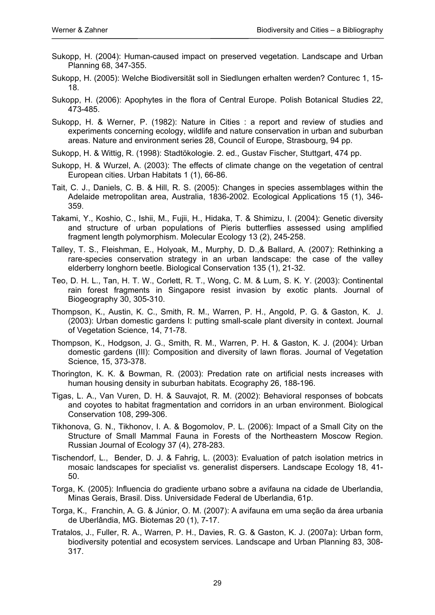- Sukopp, H. (2004): Human-caused impact on preserved vegetation. Landscape and Urban Planning 68, 347-355.
- Sukopp, H. (2005): Welche Biodiversität soll in Siedlungen erhalten werden? Conturec 1, 15- 18.
- Sukopp, H. (2006): Apophytes in the flora of Central Europe. Polish Botanical Studies 22, 473-485.
- Sukopp, H. & Werner, P. (1982): Nature in Cities : a report and review of studies and experiments concerning ecology, wildlife and nature conservation in urban and suburban areas. Nature and environment series 28, Council of Europe, Strasbourg, 94 pp.
- Sukopp, H. & Wittig, R. (1998): Stadtökologie. 2. ed., Gustav Fischer, Stuttgart, 474 pp.
- Sukopp, H. & Wurzel, A. (2003): The effects of climate change on the vegetation of central European cities. Urban Habitats 1 (1), 66-86.
- Tait, C. J., Daniels, C. B. & Hill, R. S. (2005): Changes in species assemblages within the Adelaide metropolitan area, Australia, 1836-2002. Ecological Applications 15 (1), 346- 359.
- Takami, Y., Koshio, C., Ishii, M., Fujii, H., Hidaka, T. & Shimizu, I. (2004): Genetic diversity and structure of urban populations of Pieris butterflies assessed using amplified fragment length polymorphism. Molecular Ecology 13 (2), 245-258.
- Talley, T. S., Fleishman, E., Holyoak, M., Murphy, D. D.,& Ballard, A. (2007): Rethinking a rare-species conservation strategy in an urban landscape: the case of the valley elderberry longhorn beetle. Biological Conservation 135 (1), 21-32.
- Teo, D. H. L., Tan, H. T. W., Corlett, R. T., Wong, C. M. & Lum, S. K. Y. (2003): Continental rain forest fragments in Singapore resist invasion by exotic plants. Journal of Biogeography 30, 305-310.
- Thompson, K., Austin, K. C., Smith, R. M., Warren, P. H., Angold, P. G. & Gaston, K. J. (2003): Urban domestic gardens I: putting small-scale plant diversity in context. Journal of Vegetation Science, 14, 71-78.
- Thompson, K., Hodgson, J. G., Smith, R. M., Warren, P. H. & Gaston, K. J. (2004): Urban domestic gardens (III): Composition and diversity of lawn floras. Journal of Vegetation Science, 15, 373-378.
- Thorington, K. K. & Bowman, R. (2003): Predation rate on artificial nests increases with human housing density in suburban habitats. Ecography 26, 188-196.
- Tigas, L. A., Van Vuren, D. H. & Sauvajot, R. M. (2002): Behavioral responses of bobcats and coyotes to habitat fragmentation and corridors in an urban environment. Biological Conservation 108, 299-306.
- Tikhonova, G. N., Tikhonov, I. A. & Bogomolov, P. L. (2006): Impact of a Small City on the Structure of Small Mammal Fauna in Forests of the Northeastern Moscow Region. Russian Journal of Ecology 37 (4), 278-283.
- Tischendorf, L., Bender, D. J. & Fahrig, L. (2003): Evaluation of patch isolation metrics in mosaic landscapes for specialist vs. generalist dispersers. Landscape Ecology 18, 41- 50.
- Torga, K. (2005): Influencia do gradiente urbano sobre a avifauna na cidade de Uberlandia, Minas Gerais, Brasil. Diss. Universidade Federal de Uberlandia, 61p.
- Torga, K., Franchin, A. G. & Júnior, O. M. (2007): A avifauna em uma seção da área urbania de Uberlândia, MG. Biotemas 20 (1), 7-17.
- Tratalos, J., Fuller, R. A., Warren, P. H., Davies, R. G. & Gaston, K. J. (2007a): Urban form, biodiversity potential and ecosystem services. Landscape and Urban Planning 83, 308- 317.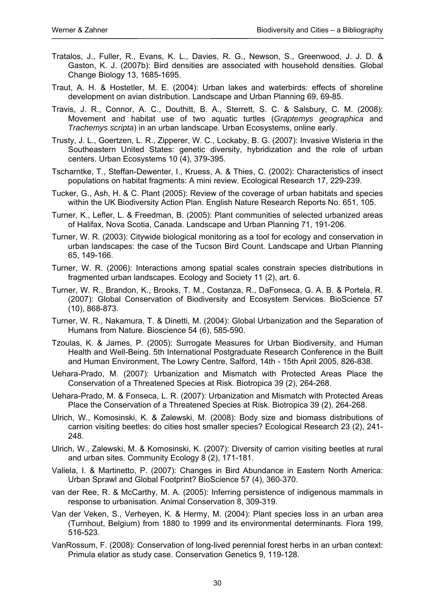- Tratalos, J., Fuller, R., Evans, K. L., Davies, R. G., Newson, S., Greenwood, J. J. D. & Gaston, K. J. (2007b): Bird densities are associated with household densities. Global Change Biology 13, 1685-1695.
- Traut, A. H. & Hostetler, M. E. (2004): Urban lakes and waterbirds: effects of shoreline development on avian distribution. Landscape and Urban Planning 69, 69-85.
- Travis, J. R., Connor, A. C., Douthitt, B. A., Sterrett, S. C. & Salsbury, C. M. (2008): Movement and habitat use of two aquatic turtles (*Graptemys geographica* and *Trachemys scripta*) in an urban landscape. Urban Ecosystems, online early.
- Trusty, J. L., Goertzen, L. R., Zipperer, W. C., Lockaby, B. G. (2007): Invasive Wisteria in the Southeastern United States: genetic diversity, hybridization and the role of urban centers. Urban Ecosystems 10 (4), 379-395.
- Tscharntke, T., Steffan-Dewenter, I., Kruess, A. & Thies, C. (2002): Characteristics of insect populations on habitat fragments: A mini review. Ecological Research 17, 229-239.
- Tucker, G., Ash, H. & C. Plant (2005): Review of the coverage of urban habitats and species within the UK Biodiversity Action Plan. English Nature Research Reports No. 651, 105.
- Turner, K., Lefler, L. & Freedman, B. (2005): Plant communities of selected urbanized areas of Halifax, Nova Scotia, Canada. Landscape and Urban Planning 71, 191-206.
- Turner, W. R. (2003): Citywide biological monitoring as a tool for ecology and conservation in urban landscapes: the case of the Tucson Bird Count. Landscape and Urban Planning 65, 149-166.
- Turner, W. R. (2006): Interactions among spatial scales constrain species distributions in fragmented urban landscapes. Ecology and Society 11 (2), art. 6.
- Turner, W. R., Brandon, K., Brooks, T. M., Costanza, R., DaFonseca, G. A. B. & Portela, R. (2007): Global Conservation of Biodiversity and Ecosystem Services. BioScience 57 (10), 868-873.
- Turner, W. R., Nakamura, T. & Dinetti, M. (2004): Global Urbanization and the Separation of Humans from Nature. Bioscience 54 (6), 585-590.
- Tzoulas, K. & James, P. (2005): Surrogate Measures for Urban Biodiversity, and Human Health and Well-Being. 5th International Postgraduate Research Conference in the Built and Human Environment, The Lowry Centre, Salford, 14th - 15th April 2005, 826-838.
- Uehara-Prado, M. (2007): Urbanization and Mismatch with Protected Areas Place the Conservation of a Threatened Species at Risk. Biotropica 39 (2), 264-268.
- Uehara-Prado, M. & Fonseca, L. R. (2007): Urbanization and Mismatch with Protected Areas Place the Conservation of a Threatened Species at Risk. Biotropica 39 (2), 264-268.
- Ulrich, W., Komosinski, K. & Zalewski, M. (2008): Body size and biomass distributions of carrion visiting beetles: do cities host smaller species? Ecological Research 23 (2), 241- 248.
- Ulrich, W., Zalewski, M. & Komosinski, K. (2007): Diversity of carrion visiting beetles at rural and urban sites. Community Ecology 8 (2), 171-181.
- Valiela, I. & Martinetto, P. (2007): Changes in Bird Abundance in Eastern North America: Urban Sprawl and Global Footprint? BioScience 57 (4), 360-370.
- van der Ree, R. & McCarthy, M. A. (2005): Inferring persistence of indigenous mammals in response to urbanisation. Animal Conservation 8, 309-319.
- Van der Veken, S., Verheyen, K. & Hermy, M. (2004): Plant species loss in an urban area (Turnhout, Belgium) from 1880 to 1999 and its environmental determinants. Flora 199, 516-523.
- VanRossum, F. (2008): Conservation of long-lived perennial forest herbs in an urban context: Primula elatior as study case. Conservation Genetics 9, 119-128.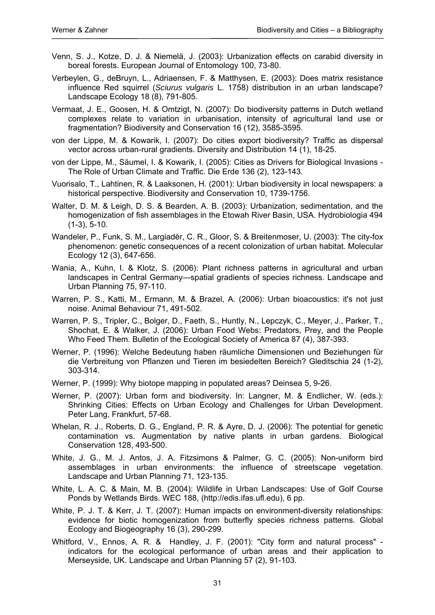- Venn, S. J., Kotze, D. J. & Niemelä, J. (2003): Urbanization effects on carabid diversity in boreal forests. European Journal of Entomology 100, 73-80.
- Verbeylen, G., deBruyn, L., Adriaensen, F. & Matthysen, E. (2003): Does matrix resistance influence Red squirrel (*Sciurus vulgaris* L. 1758) distribution in an urban landscape? Landscape Ecology 18 (8), 791-805.
- Vermaat, J. E., Goosen, H. & Omtzigt, N. (2007): Do biodiversity patterns in Dutch wetland complexes relate to variation in urbanisation, intensity of agricultural land use or fragmentation? Biodiversity and Conservation 16 (12), 3585-3595.
- von der Lippe, M. & Kowarik, I. (2007): Do cities export biodiversity? Traffic as dispersal vector across urban-rural gradients. Diversity and Distribution 14 (1), 18-25.
- von der Lippe, M., Säumel, I. & Kowarik, I. (2005): Cities as Drivers for Biological Invasions The Role of Urban Climate and Traffic. Die Erde 136 (2), 123-143.
- Vuorisalo, T., Lahtinen, R. & Laaksonen, H. (2001): Urban biodiversity in local newspapers: a historical perspective. Biodiversity and Conservation 10, 1739-1756.
- Walter, D. M. & Leigh, D. S. & Bearden, A. B. (2003): Urbanization, sedimentation, and the homogenization of fish assemblages in the Etowah River Basin, USA. Hydrobiologia 494 (1-3), 5-10.
- Wandeler, P., Funk, S. M., Largiadèr, C. R., Gloor, S. & Breitenmoser, U. (2003): The city-fox phenomenon: genetic consequences of a recent colonization of urban habitat. Molecular Ecology 12 (3), 647-656.
- Wania, A., Kuhn, I. & Klotz, S. (2006): Plant richness patterns in agricultural and urban landscapes in Central Germany—spatial gradients of species richness. Landscape and Urban Planning 75, 97-110.
- Warren, P. S., Katti, M., Ermann, M. & Brazel, A. (2006): Urban bioacoustics: it's not just noise. Animal Behaviour 71, 491-502.
- Warren, P. S., Tripler, C., Bolger, D., Faeth, S., Huntly, N., Lepczyk, C., Meyer, J., Parker, T., Shochat, E. & Walker, J. (2006): Urban Food Webs: Predators, Prey, and the People Who Feed Them. Bulletin of the Ecological Society of America 87 (4), 387-393.
- Werner, P. (1996): Welche Bedeutung haben räumliche Dimensionen und Beziehungen für die Verbreitung von Pflanzen und Tieren im besiedelten Bereich? Gleditschia 24 (1-2), 303-314.
- Werner, P. (1999): Why biotope mapping in populated areas? Deinsea 5, 9-26.
- Werner, P. (2007): Urban form and biodiversity. In: Langner, M. & Endlicher, W. (eds.): Shrinking Cities: Effects on Urban Ecology and Challenges for Urban Development. Peter Lang, Frankfurt, 57-68.
- Whelan, R. J., Roberts, D. G., England, P. R. & Ayre, D. J. (2006): The potential for genetic contamination vs. Augmentation by native plants in urban gardens. Biological Conservation 128, 493-500.
- White, J. G., M. J. Antos, J. A. Fitzsimons & Palmer, G. C. (2005): Non-uniform bird assemblages in urban environments: the influence of streetscape vegetation. Landscape and Urban Planning 71, 123-135.
- White, L. A. C. & Main, M. B. (2004): Wildlife in Urban Landscapes: Use of Golf Course Ponds by Wetlands Birds. WEC 188, (http://edis.ifas.ufl.edu), 6 pp.
- White, P. J. T. & Kerr, J. T. (2007): Human impacts on environment-diversity relationships: evidence for biotic homogenization from butterfly species richness patterns. Global Ecology and Biogeography 16 (3), 290-299.
- Whitford, V., Ennos, A. R. & Handley, J. F. (2001): "City form and natural process" indicators for the ecological performance of urban areas and their application to Merseyside, UK. Landscape and Urban Planning 57 (2), 91-103.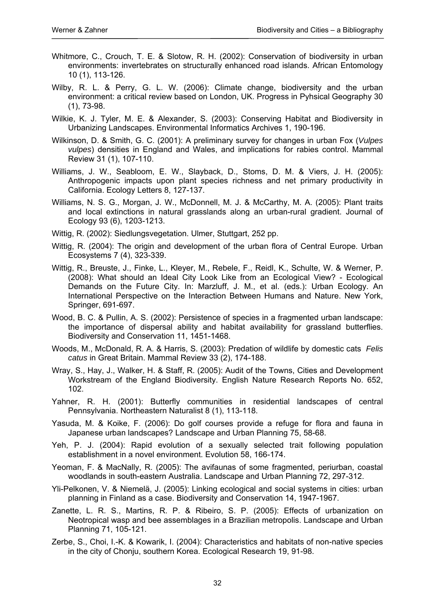- Whitmore, C., Crouch, T. E. & Slotow, R. H. (2002): Conservation of biodiversity in urban environments: invertebrates on structurally enhanced road islands. African Entomology 10 (1), 113-126.
- Wilby, R. L. & Perry, G. L. W. (2006): Climate change, biodiversity and the urban environment: a critical review based on London, UK. Progress in Pyhsical Geography 30 (1), 73-98.
- Wilkie, K. J. Tyler, M. E. & Alexander, S. (2003): Conserving Habitat and Biodiversity in Urbanizing Landscapes. Environmental Informatics Archives 1, 190-196.
- Wilkinson, D. & Smith, G. C. (2001): A preliminary survey for changes in urban Fox (*Vulpes vulpes*) densities in England and Wales, and implications for rabies control. Mammal Review 31 (1), 107-110.
- Williams, J. W., Seabloom, E. W., Slayback, D., Stoms, D. M. & Viers, J. H. (2005): Anthropogenic impacts upon plant species richness and net primary productivity in California. Ecology Letters 8, 127-137.
- Williams, N. S. G., Morgan, J. W., McDonnell, M. J. & McCarthy, M. A. (2005): Plant traits and local extinctions in natural grasslands along an urban-rural gradient. Journal of Ecology 93 (6), 1203-1213.
- Wittig, R. (2002): Siedlungsvegetation. Ulmer, Stuttgart, 252 pp.
- Wittig, R. (2004): The origin and development of the urban flora of Central Europe. Urban Ecosystems 7 (4), 323-339.
- Wittig, R., Breuste, J., Finke, L., Kleyer, M., Rebele, F., Reidl, K., Schulte, W. & Werner, P. (2008): What should an Ideal City Look Like from an Ecological View? - Ecological Demands on the Future City. In: Marzluff, J. M., et al. (eds.): Urban Ecology. An International Perspective on the Interaction Between Humans and Nature. New York, Springer, 691-697.
- Wood, B. C. & Pullin, A. S. (2002): Persistence of species in a fragmented urban landscape: the importance of dispersal ability and habitat availability for grassland butterflies. Biodiversity and Conservation 11, 1451-1468.
- Woods, M., McDonald, R. A. & Harris, S. (2003): Predation of wildlife by domestic cats *Felis catus* in Great Britain. Mammal Review 33 (2), 174-188.
- Wray, S., Hay, J., Walker, H. & Staff, R. (2005): Audit of the Towns, Cities and Development Workstream of the England Biodiversity. English Nature Research Reports No. 652, 102.
- Yahner, R. H. (2001): Butterfly communities in residential landscapes of central Pennsylvania. Northeastern Naturalist 8 (1), 113-118.
- Yasuda, M. & Koike, F. (2006): Do golf courses provide a refuge for flora and fauna in Japanese urban landscapes? Landscape and Urban Planning 75, 58-68.
- Yeh, P. J. (2004): Rapid evolution of a sexually selected trait following population establishment in a novel environment. Evolution 58, 166-174.
- Yeoman, F. & MacNally, R. (2005): The avifaunas of some fragmented, periurban, coastal woodlands in south-eastern Australia. Landscape and Urban Planning 72, 297-312.
- Yli-Pelkonen, V. & Niemelä, J. (2005): Linking ecological and social systems in cities: urban planning in Finland as a case. Biodiversity and Conservation 14, 1947-1967.
- Zanette, L. R. S., Martins, R. P. & Ribeiro, S. P. (2005): Effects of urbanization on Neotropical wasp and bee assemblages in a Brazilian metropolis. Landscape and Urban Planning 71, 105-121.
- Zerbe, S., Choi, I.-K. & Kowarik, I. (2004): Characteristics and habitats of non-native species in the city of Chonju, southern Korea. Ecological Research 19, 91-98.